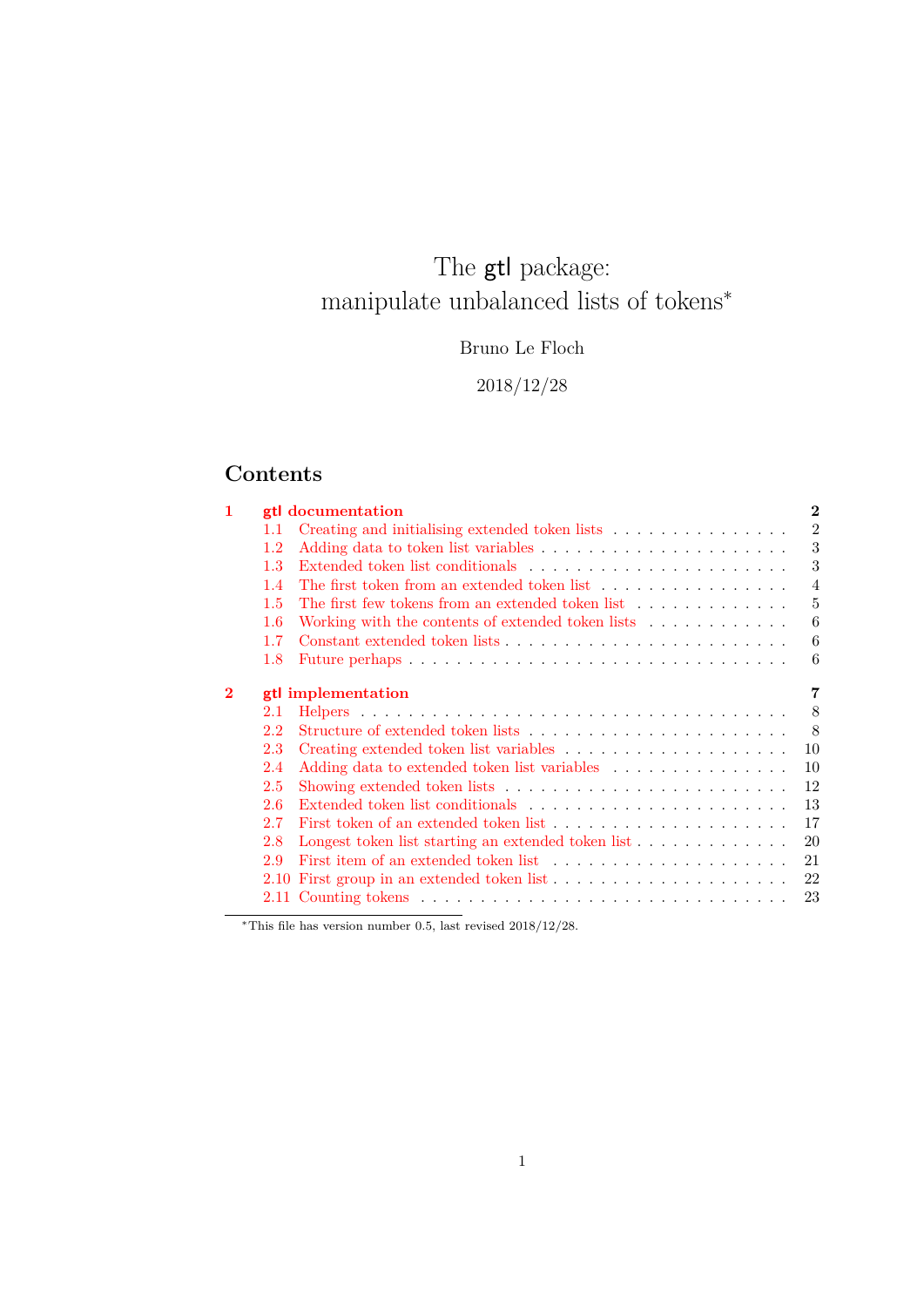# <span id="page-0-0"></span>The  $\operatorname{\textsf{gtl}}$  package: manipulate unbalanced lists of tokens<sup>∗</sup>

Bruno Le Floch

2018/12/28

## **Contents**

| 1        |         | <b>gtl</b> documentation                                                            | $\overline{2}$ |
|----------|---------|-------------------------------------------------------------------------------------|----------------|
|          | 1.1     | Creating and initialising extended token lists $\ldots \ldots \ldots \ldots \ldots$ | $\overline{2}$ |
|          | 1.2     |                                                                                     | 3              |
|          | 1.3     |                                                                                     | 3              |
|          | 1.4     | The first token from an extended token list $\ldots \ldots \ldots \ldots \ldots$    | $\overline{4}$ |
|          | 1.5     | The first few tokens from an extended token list $\ldots \ldots \ldots \ldots$      | 5              |
|          | $1.6\,$ | Working with the contents of extended token lists                                   | 6              |
|          | 1.7     |                                                                                     | 6              |
|          | 1.8     |                                                                                     | 6              |
|          |         |                                                                                     |                |
| $\bf{2}$ |         | gtl implementation                                                                  | 7              |
|          | 2.1     |                                                                                     | 8              |
|          | 2.2     |                                                                                     | - 8            |
|          | 2.3     |                                                                                     | 10             |
|          | 2.4     | Adding data to extended token list variables $\ldots \ldots \ldots \ldots \ldots$   | 10             |
|          | 2.5     |                                                                                     | 12             |
|          | 2.6     |                                                                                     | 13             |
|          | 2.7     |                                                                                     | 17             |
|          | 2.8     | Longest token list starting an extended token list                                  | 20             |
|          | 2.9     |                                                                                     | 21             |
|          |         |                                                                                     | 22             |
|          |         |                                                                                     | 23             |
|          |         |                                                                                     |                |

<sup>∗</sup>This file has version number 0.5, last revised 2018/12/28.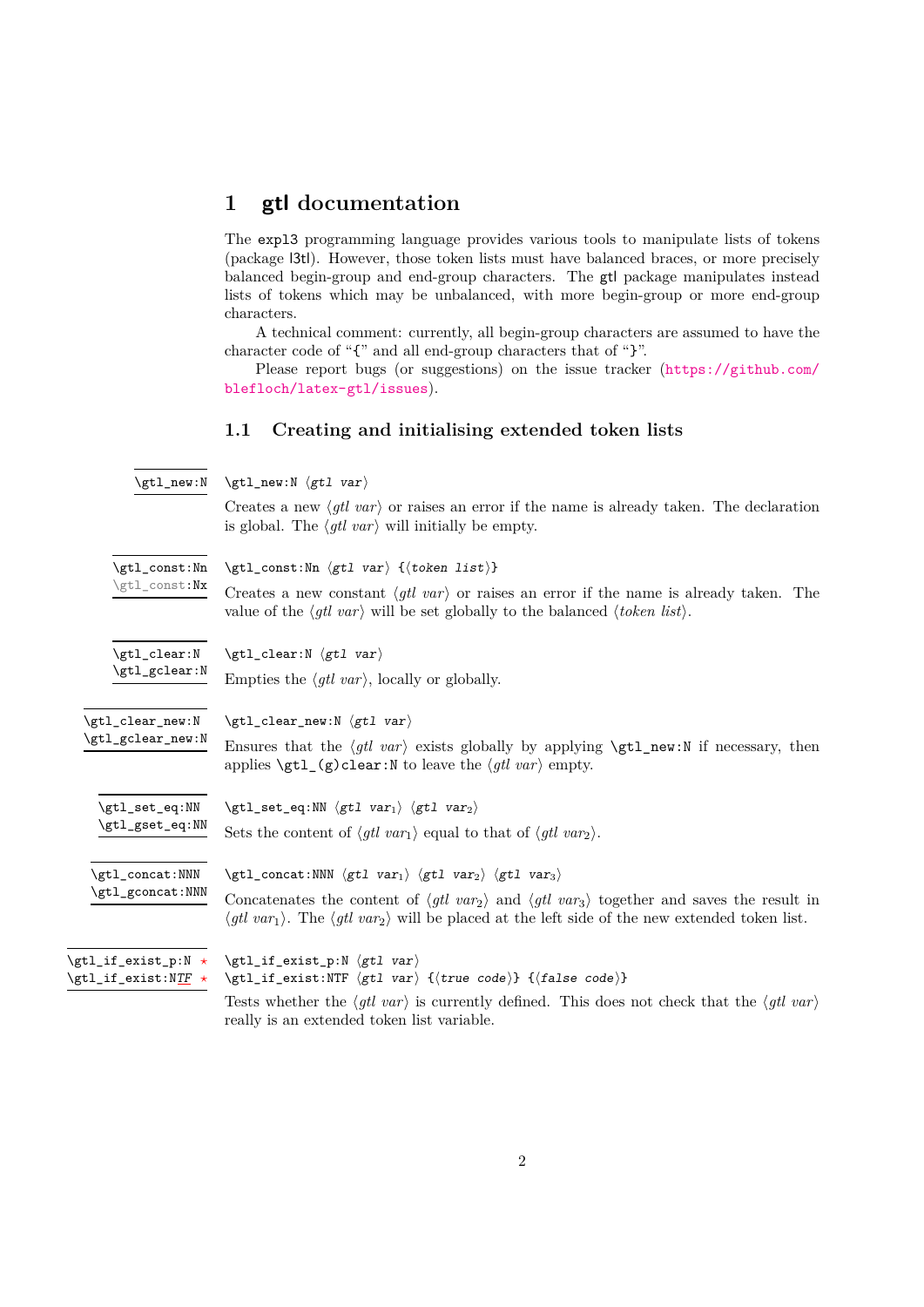### <span id="page-1-0"></span>**1 gtl documentation**

The expl3 programming language provides various tools to manipulate lists of tokens (package l3tl). However, those token lists must have balanced braces, or more precisely balanced begin-group and end-group characters. The gtl package manipulates instead lists of tokens which may be unbalanced, with more begin-group or more end-group characters.

A technical comment: currently, all begin-group characters are assumed to have the character code of "{" and all end-group characters that of "}".

Please report bugs (or suggestions) on the issue tracker ([https://github.com/](https://github.com/blefloch/latex-gtl/issues) [blefloch/latex-gtl/issues](https://github.com/blefloch/latex-gtl/issues)).

#### <span id="page-1-1"></span>**1.1 Creating and initialising extended token lists**

<span id="page-1-3"></span>

|  | $\gt;gtl_new:N \quad \gt;gtl_new:N \quad gtl \quad var$ |  |  |
|--|---------------------------------------------------------|--|--|
|--|---------------------------------------------------------|--|--|

Creates a new  $\langle gtl \, var \rangle$  or raises an error if the name is already taken. The declaration is global. The  $\langle qtl \, var \rangle$  will initially be empty.

<span id="page-1-8"></span><span id="page-1-7"></span><span id="page-1-6"></span><span id="page-1-5"></span><span id="page-1-4"></span><span id="page-1-2"></span>

| \gtl_const:Nn                                      | $\left\{ \text{const:} \text{Nn } \left\langle \text{gtl var} \right\rangle \right\}$                                                                                                                                                                                                                                                                                                                                                            |  |  |  |  |
|----------------------------------------------------|--------------------------------------------------------------------------------------------------------------------------------------------------------------------------------------------------------------------------------------------------------------------------------------------------------------------------------------------------------------------------------------------------------------------------------------------------|--|--|--|--|
| \gtl_const:Nx                                      | Creates a new constant $\langle g t \rangle$ or raises an error if the name is already taken. The<br>value of the $\langle gtl \, var \rangle$ will be set globally to the balanced $\langle token \, list \rangle$ .                                                                                                                                                                                                                            |  |  |  |  |
| \gtl_clear:N<br>\gtl_gclear:N                      | $\getl_clear:N \langle gtl \ var \rangle$                                                                                                                                                                                                                                                                                                                                                                                                        |  |  |  |  |
| \gtl_clear_new:N<br>\gtl_gclear_new:N              | Empties the $\langle gtl \ var \rangle$ , locally or globally.<br>$\getl_clear_new:N \left\langle gtl \ var \right\rangle$<br>Ensures that the $\langle gtl \nvert var \rangle$ exists globally by applying $\zeta$ tl_new:N if necessary, then<br>applies $\getl_{g}clear: N$ to leave the $\getl_{var}$ empty.                                                                                                                                 |  |  |  |  |
| \gtl_set_eq:NN<br>\gtl_gset_eq:NN                  | $\left\{ \text{set_eq: NN } \left\langle \text{gt1 } var_1 \right\rangle \right.$ $\left\langle \text{gt1 } var_2 \right\rangle$<br>Sets the content of $\langle gtl \, var_1 \rangle$ equal to that of $\langle gtl \, var_2 \rangle$ .                                                                                                                                                                                                         |  |  |  |  |
| \gtl_concat:NNN<br>\gtl_gconcat:NNN                | $\sqrt{\text{gt1}_\text{concat}}$ :NNN $\langle \text{gt1 var}_1 \rangle$ $\langle \text{gt1 var}_2 \rangle$ $\langle \text{gt1 var}_3 \rangle$<br>Concatenates the content of $\langle g t \rangle$ var <sub>2</sub> and $\langle g t \rangle$ var <sub>3</sub> together and saves the result in<br>$\langle gtl \nvert var_1 \rangle$ . The $\langle gtl \nvert var_2 \rangle$ will be placed at the left side of the new extended token list. |  |  |  |  |
| \gtl_if_exist_p:N *<br>\gtl_if_exist:N <u>TF</u> * | $\gt;gtl_if_exist: NTF \langle gtl \ var \rangle$ { $\langle true \ code \rangle$ } { $\langle false \ code \rangle$ }<br>Tests whether the $\langle g t \rangle$ var) is currently defined. This does not check that the $\langle g t \rangle$ var)<br>really is an extended token list variable.                                                                                                                                               |  |  |  |  |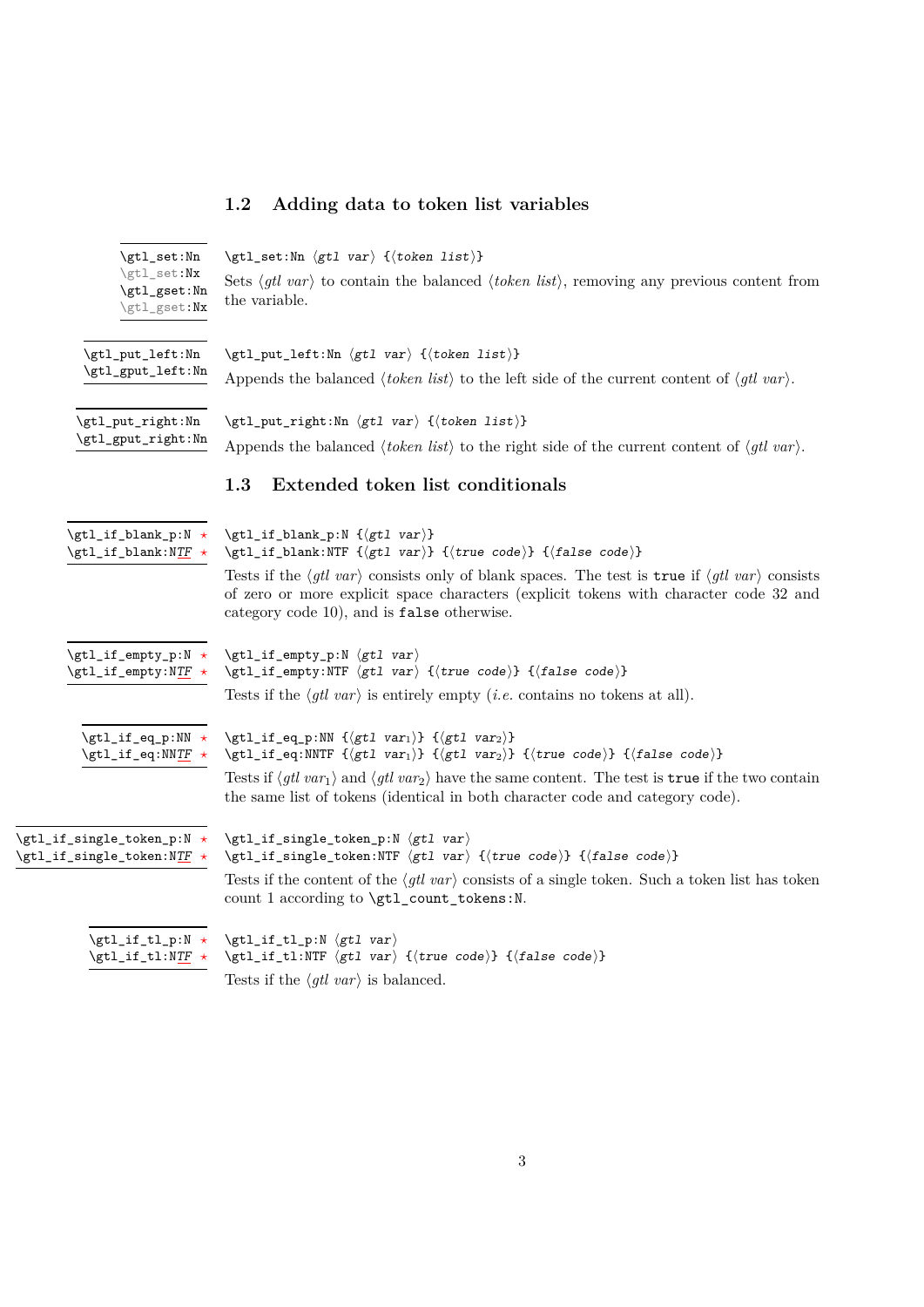## <span id="page-2-1"></span><span id="page-2-0"></span>**1.2 Adding data to token list variables**

<span id="page-2-9"></span><span id="page-2-8"></span><span id="page-2-7"></span><span id="page-2-6"></span><span id="page-2-5"></span><span id="page-2-4"></span><span id="page-2-3"></span><span id="page-2-2"></span>

| \gtl_set:Nn                                              | $\left\{ \text{set:} \mathbb{N} \left( \text{gt1 var} \right) \right\}$                                                                                                                                                                                                                                                                                                                                                                    |
|----------------------------------------------------------|--------------------------------------------------------------------------------------------------------------------------------------------------------------------------------------------------------------------------------------------------------------------------------------------------------------------------------------------------------------------------------------------------------------------------------------------|
| \gtl_set:Nx<br>\gtl_gset:Nn<br>\gtl_gset:Nx              | Sets $\langle g t \rangle$ var) to contain the balanced $\langle \text{token list} \rangle$ , removing any previous content from<br>the variable.                                                                                                                                                                                                                                                                                          |
| $\verb \gt1_put-left: Nn $<br>\gtl_gput_left:Nn          | $\left\{ \text{put}\left[ \text{left} \right] \right\} \right\}$<br>Appends the balanced $\langle \text{token list} \rangle$ to the left side of the current content of $\langle \text{gl} \text{ var} \rangle$ .                                                                                                                                                                                                                          |
| \gtl_put_right:Nn<br>\gtl_gput_right:Nn                  | \gtl_put_right:Nn \gtl var \{\token list \}<br>Appends the balanced $\langle \text{token list} \rangle$ to the right side of the current content of $\langle \text{gli var} \rangle$ .<br>1.3<br>Extended token list conditionals                                                                                                                                                                                                          |
| \gtl_if_blank_p:N *<br>$\getl_if_blank:NTF \star$        | \gtl_if_blank_p:N {\gtl var}}<br>\gtl_if_blank:NTF { $\{gtl \ var\}$ { $\{true \ code\}$ } { $\{false \ code\}$ }<br>Tests if the $\langle g t \rangle$ var consists only of blank spaces. The test is true if $\langle g t \rangle$ var consists                                                                                                                                                                                          |
|                                                          | of zero or more explicit space characters (explicit tokens with character code 32 and<br>category code 10), and is false otherwise.                                                                                                                                                                                                                                                                                                        |
| \gtl_if_empty_p:N *<br>\gtl_if_empty:NTF *               | $\getl_if_{empty_p}: N \left\langle gtl \ var \right\rangle$<br>\gtl_if_empty:NTF \gtl var \{\true code \} {\false code \}<br>Tests if the $\langle gtl \nvert var \rangle$ is entirely empty ( <i>i.e.</i> contains no tokens at all).                                                                                                                                                                                                    |
| \gtl_if_eq_p:NN *<br>\gtl_if_eq:NNTF *                   | $\getl_ifq_p:NN \{(gt1 var_1)\} \{(gt1 var_2)\}$<br>\gtl_if_eq:NNTF { $\gtrsim t$ ] $\gtrsim$ { $\gtrsim t$ ] { $\gtrsim t$ var <sub>2</sub> } { $\gtrsim$ { $\gtrsim$ tode}} { $\gtrsim$ code}}<br>Tests if $\langle g t \rangle$ var <sub>1</sub> and $\langle g t \rangle$ var <sub>2</sub> have the same content. The test is true if the two contain<br>the same list of tokens (identical in both character code and category code). |
| \gtl_if_single_token_p:N *<br>\gtl_if_single_token:NTF * | $\getl_i f_single\_token_p:N \left\langle gtl \ var \right\rangle$<br>\gtl_if_single_token:NTF \gtl var \{\true code \} {\false code \}<br>Tests if the content of the $\langle g t \rangle$ var) consists of a single token. Such a token list has token<br>count 1 according to \gtl_count_tokens:N.                                                                                                                                     |
| \gtl_if_tl_p:N $\star$<br>\gtl_if_tl:NTF *               | $\getl_i_t_l_p: N \left\langle gtl \ var \right\rangle$<br>$\gt;gtl_if_t1:NTF \langle gtl \ var \rangle \{(true \ code)\} \{(false \ code)\}$<br>Tests if the $\langle gtl \, var \rangle$ is balanced.                                                                                                                                                                                                                                    |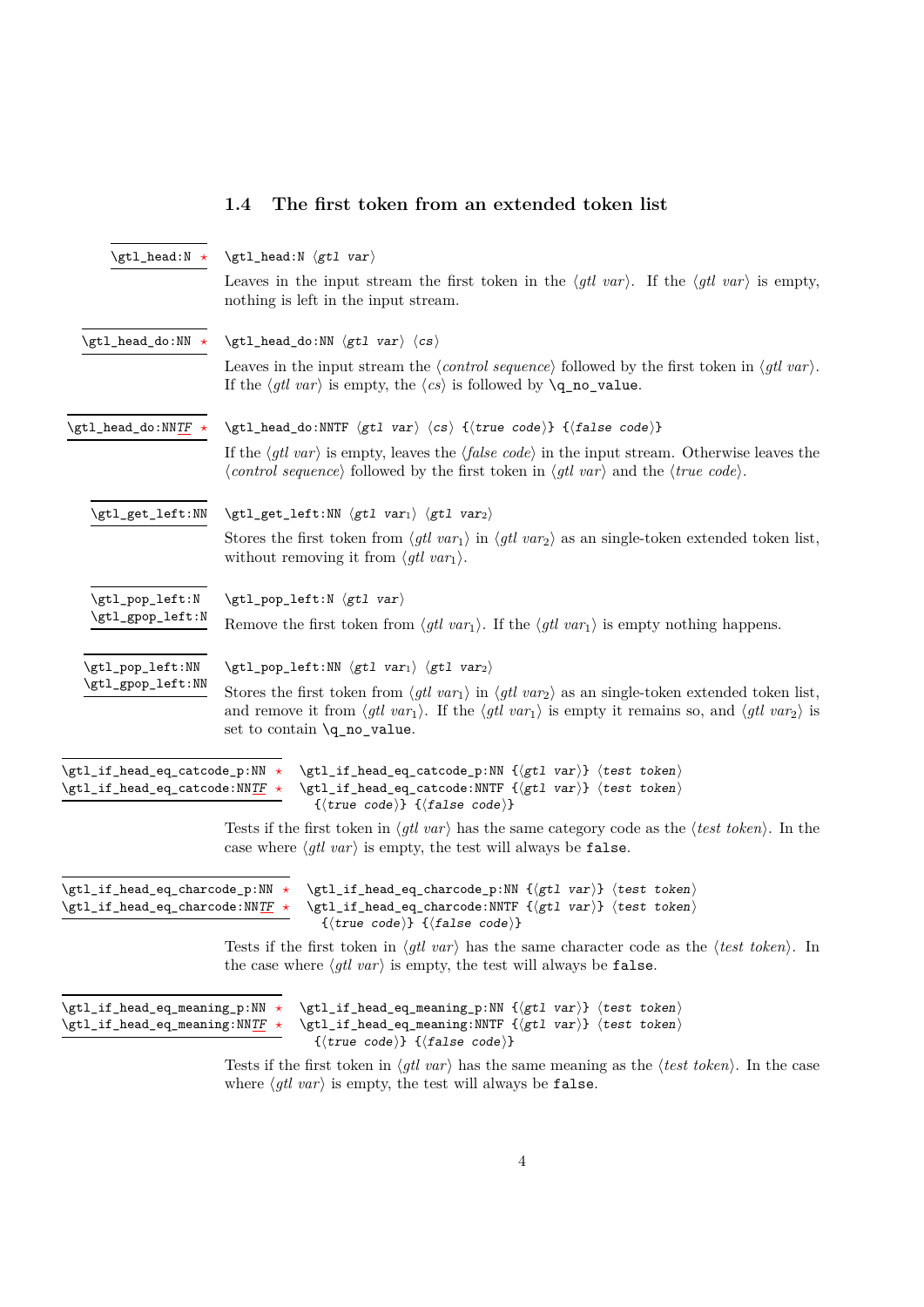#### <span id="page-3-0"></span>**1.4 The first token from an extended token list**

<span id="page-3-9"></span><span id="page-3-8"></span><span id="page-3-7"></span><span id="page-3-6"></span><span id="page-3-5"></span><span id="page-3-4"></span>

| $\getl\_head:N \star$                                                                                                                              | $\getl_{head:N}$ (gtl var)                                                                                                                                                                                                                                                                                                             |  |  |  |  |
|----------------------------------------------------------------------------------------------------------------------------------------------------|----------------------------------------------------------------------------------------------------------------------------------------------------------------------------------------------------------------------------------------------------------------------------------------------------------------------------------------|--|--|--|--|
|                                                                                                                                                    | Leaves in the input stream the first token in the $\langle gtl \, var \rangle$ . If the $\langle gtl \, var \rangle$ is empty,<br>nothing is left in the input stream.                                                                                                                                                                 |  |  |  |  |
| $\getl\_head\_do : NN \; \star$                                                                                                                    | $\gt;gtl_head_do:NN \langle gt1 \, var \rangle \langle cs \rangle$                                                                                                                                                                                                                                                                     |  |  |  |  |
|                                                                                                                                                    | Leaves in the input stream the $\langle control\ sequence \rangle$ followed by the first token in $\langle gtl\ var \rangle$ .<br>If the $\langle gtl \, var \rangle$ is empty, the $\langle cs \rangle$ is followed by $\qquad\mathbf{q} \cdot \mathbf{n}$ ralue.                                                                     |  |  |  |  |
| \gtl_head_do:NNTF $\star$                                                                                                                          | \gtl_head_do:NNTF $\langle gt1 \ var \rangle \langle cs \rangle$ { $\langle true \ code \rangle$ } { $\langle false \ code \rangle$ }                                                                                                                                                                                                  |  |  |  |  |
|                                                                                                                                                    | If the $\langle gtl \nvert var \rangle$ is empty, leaves the $\langle false \nvert code \rangle$ in the input stream. Otherwise leaves the<br>$\langle control \ sequence \rangle$ followed by the first token in $\langle gtl \ var \rangle$ and the $\langle true \ code \rangle$ .                                                  |  |  |  |  |
| \gtl_get_left:NN                                                                                                                                   | $\verb \gt1_get-left:NN  \langle gt1 \ var_1 \rangle \langle gt1 \ var_2 \rangle$                                                                                                                                                                                                                                                      |  |  |  |  |
|                                                                                                                                                    | Stores the first token from $\langle gtl \nvert var_1 \rangle$ in $\langle gtl \nvert var_2 \rangle$ as an single-token extended token list,<br>without removing it from $\langle gtl \, var_1 \rangle$ .                                                                                                                              |  |  |  |  |
| \gtl_pop_left:N                                                                                                                                    | $\getl\_pop\_left:N \; \langle gt1 \; var \rangle$                                                                                                                                                                                                                                                                                     |  |  |  |  |
| \gtl_gpop_left:N                                                                                                                                   | Remove the first token from $\langle gtl \nvert var_1 \rangle$ . If the $\langle gtl \nvert var_1 \rangle$ is empty nothing happens.                                                                                                                                                                                                   |  |  |  |  |
| \gtl_pop_left:NN                                                                                                                                   | $\left\{ \text{ptl\_pop\_left: NN \ (gtl \ var_1) \ (gtl \ var_2) \right. \right\}$                                                                                                                                                                                                                                                    |  |  |  |  |
| \gtl_gpop_left:NN                                                                                                                                  | Stores the first token from $\langle gtl \nvert var_1 \rangle$ in $\langle gtl \nvert var_2 \rangle$ as an single-token extended token list,<br>and remove it from $\langle gtl \, var_1 \rangle$ . If the $\langle gtl \, var_1 \rangle$ is empty it remains so, and $\langle gtl \, var_2 \rangle$ is<br>set to contain \q_no_value. |  |  |  |  |
| $\left\{ \text{ptl}_if\_head\_eq\_catcode\_p:NN \right\}$<br>$\left\{ \texttt{et\_if\_head\_eq\_catcode:NN} \underline{\texttt{TF}} \right. \star$ | $\left\{ \text{ptl}_if\_head\_eq\_catcode\_p:NN \ {\text{gtl var}} \ \} \ \text{test token} \right\}$<br>$\left\{ \text{etl}_if\_head\_eq\_catcode: \text{NNTF } \left\{ \text{trl } var \right\} \right. \left\{ \text{test token} \right\}$<br>$\{\langle true \ code \rangle\} \ \{\langle false \ code \rangle\}$                  |  |  |  |  |
|                                                                                                                                                    | Tests if the first token in $\langle g t \rangle$ var) has the same category code as the $\langle test \, token \rangle$ . In the<br>case where $\langle gtl \, var \rangle$ is empty, the test will always be false.                                                                                                                  |  |  |  |  |
| $\left\{ \text{ptl}_if\_head\_eq\_character\_p: NN \right\}$<br>$\left\{ \text{ptl}_if\_head\_eq\_character\_NNTF \right\}$                        | $\gt;gtl_if_head_eq_ccharcode_p:NN {\forall}tl var} {\forall} test token$<br>$\left\{ \text{t}_i \right\}$ $\left\{ \text{t}_i \right\}$ $\left\{ \text{t}_i \right\}$<br>$\{\langle true \ code \rangle\} \ \{\langle false \ code \rangle\}$                                                                                         |  |  |  |  |
|                                                                                                                                                    | Tests if the first token in $\langle g t \rangle$ are has the same character code as the $\langle test \ token \rangle$ . In<br>the case where $\langle gtl \, var \rangle$ is empty, the test will always be false.                                                                                                                   |  |  |  |  |
| $\left\{ \text{ptl}_if\_head\_eq\_meaning\_p: NN \right. \star$<br>$\left\{ \text{tr}_i \right\}$ $\left\{ \text{det}_i \right\}$                  | $\left\{ \text{etl}_if\_head\_eq\_meaning\_p: NN \ \{ \text{etl} \ \ \text{var} \} \ \{ \text{test} \ \ \text{token} \} \right\}$<br>$\left\{ \text{etl}_if\_head\_eq\_meaning: \text{NNTF } \left\{ \text{ext } var \right\} \right. \left\{ \text{test } token \right\}$                                                             |  |  |  |  |

 ${\{\langle true\ code \rangle\}}$   ${\{\langle false\ code \rangle\}}$ 

<span id="page-3-3"></span><span id="page-3-2"></span><span id="page-3-1"></span>Tests if the first token in  $\langle gtl \nvert var \rangle$  has the same meaning as the  $\langle test \nvert char \rangle$ . In the case where  $\langle gtl \; var \rangle$  is empty, the test will always be false.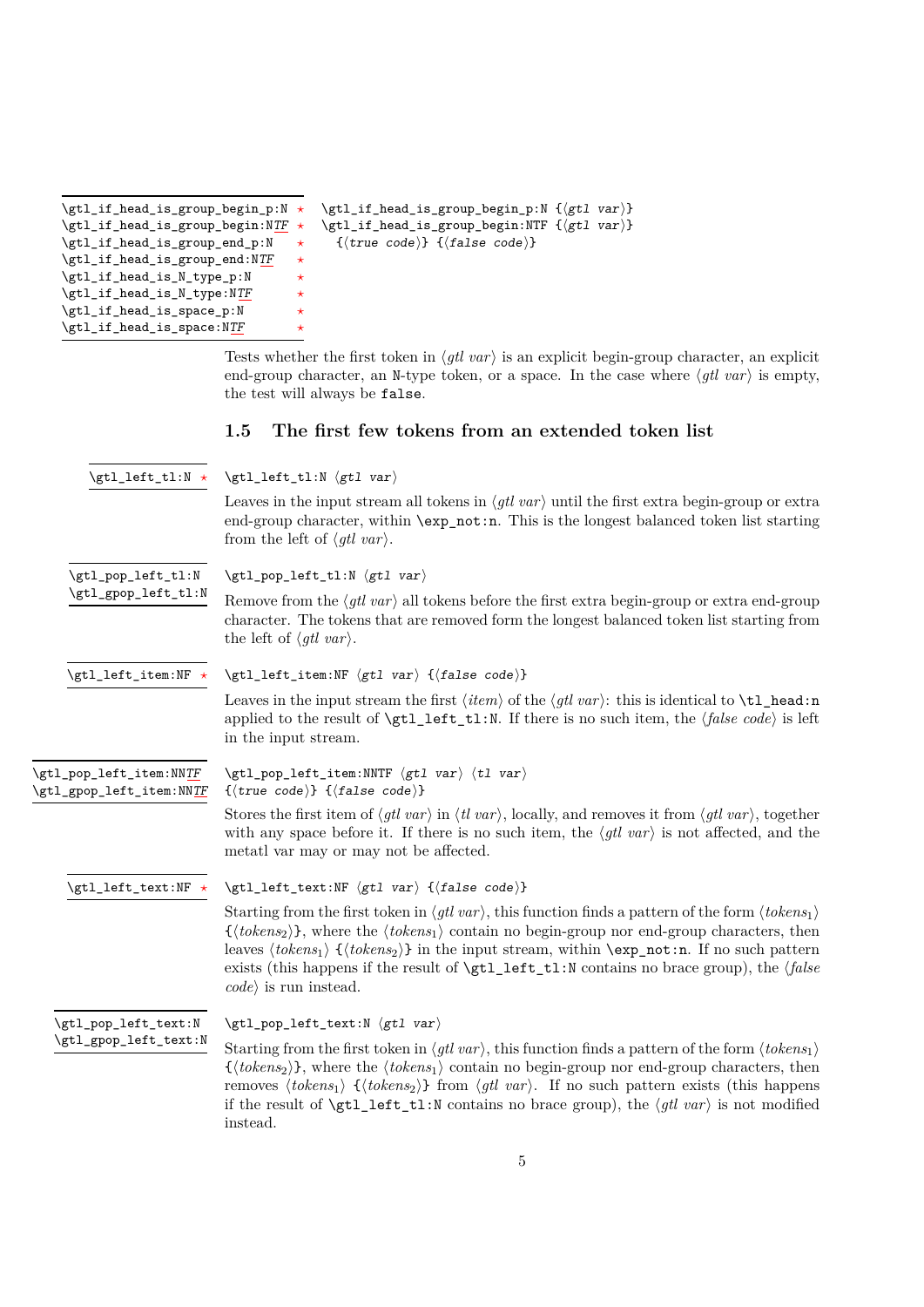<span id="page-4-1"></span>

| \gtl_if_head_is_group_begin_p:N * |         | $\getl_i$ head is group begin p:N $\{(gtl \ var)\}$                                    |  |
|-----------------------------------|---------|----------------------------------------------------------------------------------------|--|
| \gtl_if_head_is_group_begin:NTF * |         | $\left\{ \text{etl}_if\_head_is\_group\_begin: \text{NF } {\sqrt{gtl} \ var} \right\}$ |  |
| \gtl_if_head_is_group_end_p:N     | $\star$ | $\{\langle true \ code \rangle\}$ $\{\langle false \ code \rangle\}$                   |  |
| \gtl_if_head_is_group_end:NTF     | $\star$ |                                                                                        |  |
| \gtl_if_head_is_N_type_p:N        | $\star$ |                                                                                        |  |
| \gtl_if_head_is_N_type:NTF        | $\star$ |                                                                                        |  |
| \gtl_if_head_is_space_p:N         | $\star$ |                                                                                        |  |
| \gtl_if_head_is_space:NTF         | $\star$ |                                                                                        |  |

Tests whether the first token in  $\langle gtl \ var \rangle$  is an explicit begin-group character, an explicit end-group character, an N-type token, or a space. In the case where  $\langle gtl \; var \rangle$  is empty, the test will always be false.

#### <span id="page-4-0"></span>**1.5 The first few tokens from an extended token list**

<span id="page-4-5"></span><span id="page-4-4"></span><span id="page-4-3"></span><span id="page-4-2"></span>

| \gtl_left_tl:N $\star$                              | $\getl_{left\_tl: N \ (gt1 \ var)$                                                                                                                                                                                                                                                                                                                                                                                                                                                                                                         |
|-----------------------------------------------------|--------------------------------------------------------------------------------------------------------------------------------------------------------------------------------------------------------------------------------------------------------------------------------------------------------------------------------------------------------------------------------------------------------------------------------------------------------------------------------------------------------------------------------------------|
|                                                     | Leaves in the input stream all tokens in $\langle gtl \, var \rangle$ until the first extra begin-group or extra<br>end-group character, within \exp_not:n. This is the longest balanced token list starting<br>from the left of $\langle gtl \, var \rangle$ .                                                                                                                                                                                                                                                                            |
| \gtl_pop_left_tl:N                                  | $\getl\_pop\_left\_tl: N \left\langle gtl \space var \right\rangle$                                                                                                                                                                                                                                                                                                                                                                                                                                                                        |
| \gtl_gpop_left_tl:N                                 | Remove from the $\langle gtl \rangle$ var $\rangle$ all tokens before the first extra begin-group or extra end-group<br>character. The tokens that are removed form the longest balanced token list starting from<br>the left of $\langle gtl \, var \rangle$ .                                                                                                                                                                                                                                                                            |
| \gtl_left_item:NF *                                 | $\left\{ \text{etl\_left\_item: NF } \left\langle \text{gl } var \right\rangle \right. \right\}$                                                                                                                                                                                                                                                                                                                                                                                                                                           |
|                                                     | Leaves in the input stream the first $\langle item \rangle$ of the $\langle gtl \, var \rangle$ : this is identical to $\texttt{ltl}\_head:n$<br>applied to the result of $\getl_t_t1$ . If there is no such item, the $\{false \ code\}$ is left<br>in the input stream.                                                                                                                                                                                                                                                                  |
| \gtl_pop_left_item:NNTF<br>\gtl_gpop_left_item:NNTF | $\left\{ \text{ptl\_pop\_left\_item: NNTF } \left\langle gt1 \text{ var} \right\rangle \right. \right.$<br>$\{\langle true \ code \rangle\}$ $\{\langle false \ code \rangle\}$                                                                                                                                                                                                                                                                                                                                                            |
|                                                     | Stores the first item of $\langle gtl \, var \rangle$ in $\langle tl \, var \rangle$ , locally, and removes it from $\langle gtl \, var \rangle$ , together<br>with any space before it. If there is no such item, the $\langle gtl \rangle$ var) is not affected, and the<br>metatl var may or may not be affected.                                                                                                                                                                                                                       |
| \gtl_left_text:NF *                                 | $\left\{ \text{etl\_left\_text:NF }\left\langle gtl \text{ } var \right\rangle \right. \right\}$                                                                                                                                                                                                                                                                                                                                                                                                                                           |
|                                                     | Starting from the first token in $\langle g t \rangle$ var), this function finds a pattern of the form $\langle tokens_1 \rangle$<br>$\{\langle tokens_2\rangle\}$ , where the $\langle tokens_1\rangle$ contain no begin-group nor end-group characters, then<br>leaves $\langle tokens_1 \rangle$ $\{ \langle tokens_2 \rangle \}$ in the input stream, within $\exp_{\text{not}}$ in. If no such pattern<br>exists (this happens if the result of $\getl_t_t$ . N contains no brace group), the (false<br>$code\rangle$ is run instead. |
| \gtl_pop_left_text:N                                | $\left\{ \text{ptl\_pop\_left\_text: N } \left\langle gtl \text{ var} \right\rangle \right.$                                                                                                                                                                                                                                                                                                                                                                                                                                               |
| \gtl_gpop_left_text:N                               | Starting from the first token in $\langle g t \rangle$ var), this function finds a pattern of the form $\langle tokens_1 \rangle$                                                                                                                                                                                                                                                                                                                                                                                                          |

<span id="page-4-7"></span><span id="page-4-6"></span> $\{\langle tokens_2\rangle\},\$  where the  $\langle tokens_1\rangle$  contain no begin-group nor end-group characters, then removes  $\langle tokens_1\rangle \{ \langle tokens_2\rangle\}$  from  $\langle gtl \ var\rangle$ . If no such pattern exists (this happens if the result of  $\left\{ \text{t} \right\}$  left\_tl:N contains no brace group), the  $\left\{ \text{gtl} \right\}$  is not modified instead.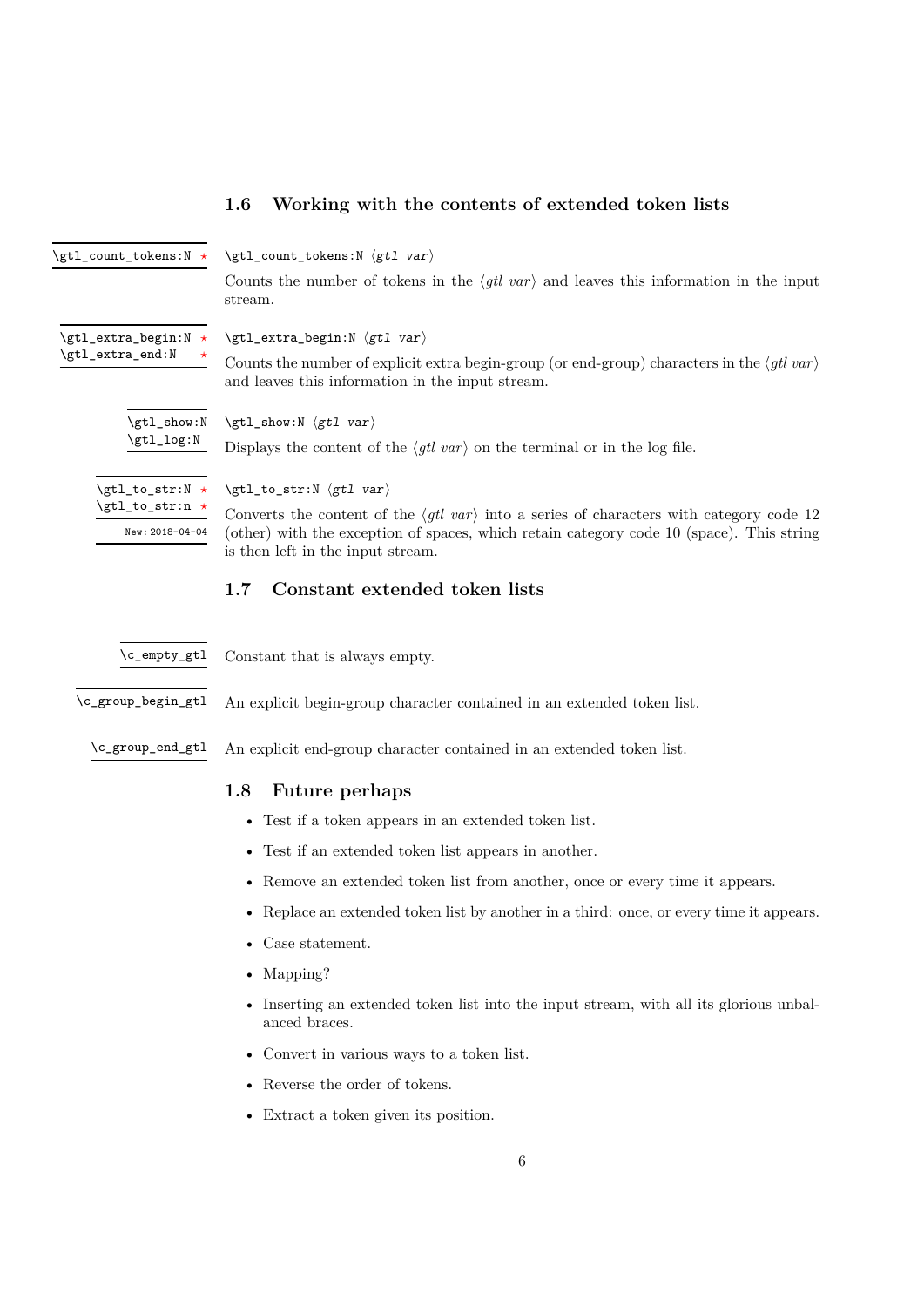<span id="page-5-9"></span><span id="page-5-8"></span><span id="page-5-7"></span>

|                                | 1.U<br><b>WOLKING</b> WITH the CONTENTS OF EXTENSIVE CONSTRUSS                                                                                                               |
|--------------------------------|------------------------------------------------------------------------------------------------------------------------------------------------------------------------------|
| \gtl_count_tokens:N *          | $\getl_count_tokens:N \getl var$                                                                                                                                             |
|                                | Counts the number of tokens in the $\langle g t \rangle$ var) and leaves this information in the input<br>stream.                                                            |
| $\getl\_extra\_begin: N \star$ | $\getl\_extra\_begin:H \langle gtl \ var \rangle$                                                                                                                            |
| \gtl_extra_end:N<br>$\star$    | Counts the number of explicit extra begin-group (or end-group) characters in the $\langle \text{gl} \text{ var} \rangle$<br>and leaves this information in the input stream. |
| \gtl_show:N                    | $\getl\_show:N \ (gtl \ var)$                                                                                                                                                |
| \gtl_log:N                     | Displays the content of the $\langle g t \rangle$ var) on the terminal or in the log file.                                                                                   |
| \gtl_to_str:N $\star$          | $\getl_to_str:N \getl var$                                                                                                                                                   |
| \gtl_to_str:n *                | Converts the content of the $\langle gtl \rangle$ var) into a series of characters with category code 12                                                                     |
| New: 2018-04-04                | (other) with the exception of spaces, which retain category code 10 (space). This string<br>is then left in the input stream.                                                |

## <span id="page-5-0"></span>**1.6 Working with the contents of extended token lists**

#### <span id="page-5-6"></span><span id="page-5-1"></span>**1.7 Constant extended token lists**

<span id="page-5-3"></span>\c\_empty\_gtl Constant that is always empty.

<span id="page-5-4"></span>\c\_group\_begin\_gtl An explicit begin-group character contained in an extended token list.

<span id="page-5-5"></span>\c\_group\_end\_gtl An explicit end-group character contained in an extended token list.

#### <span id="page-5-2"></span>**1.8 Future perhaps**

- Test if a token appears in an extended token list.
- Test if an extended token list appears in another.
- Remove an extended token list from another, once or every time it appears.
- Replace an extended token list by another in a third: once, or every time it appears.
- Case statement.
- Mapping?
- Inserting an extended token list into the input stream, with all its glorious unbalanced braces.
- Convert in various ways to a token list.
- Reverse the order of tokens.
- Extract a token given its position.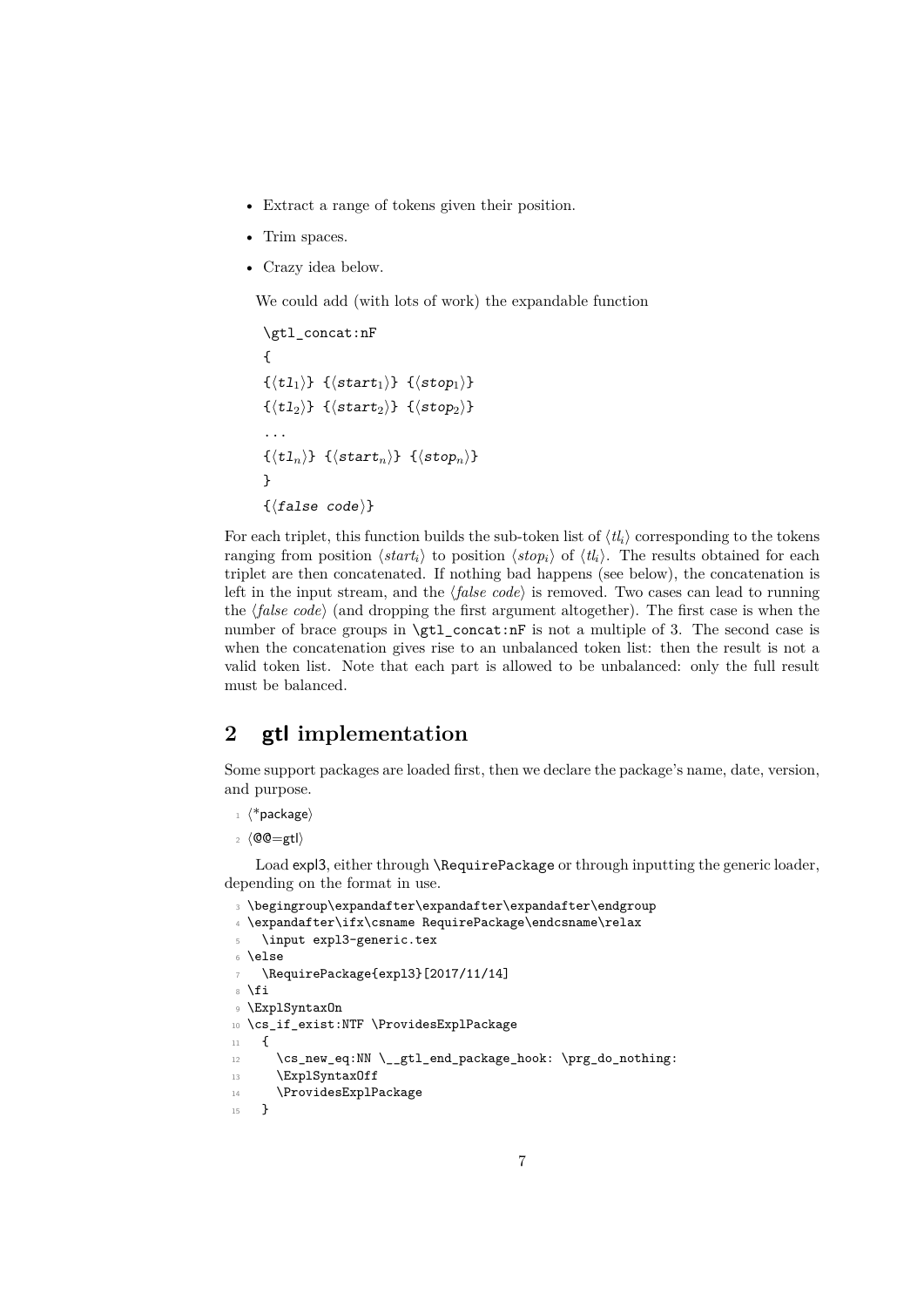- Extract a range of tokens given their position.
- Trim spaces.
- Crazy idea below.

We could add (with lots of work) the expandable function

```
\gtl_concat:nF
{
\{\langle t1_1 \rangle\} \{\langle start_1 \rangle\} \{\langle stop_1 \rangle\}\{\langle t1_2 \rangle\} \{\langle start_2 \rangle\} \{\langle stop_2 \rangle\}...
\{\langle t1_n \rangle\} \{\langle start_n \rangle\} \{\langle stop_n \rangle\}}
\{\langle false\ code \rangle\}
```
For each triplet, this function builds the sub-token list of  $\langle tl_i \rangle$  corresponding to the tokens ranging from position  $\langle \textit{start}_i \rangle$  to position  $\langle \textit{stop}_i \rangle$  of  $\langle \textit{tl}_i \rangle$ . The results obtained for each triplet are then concatenated. If nothing bad happens (see below), the concatenation is left in the input stream, and the  $\langle false \ code \rangle$  is removed. Two cases can lead to running the  $\langle false \ code \rangle$  (and dropping the first argument altogether). The first case is when the number of brace groups in  $\setminus \text{gl}_\text{-concat:nF}$  is not a multiple of 3. The second case is when the concatenation gives rise to an unbalanced token list: then the result is not a valid token list. Note that each part is allowed to be unbalanced: only the full result must be balanced.

### <span id="page-6-0"></span>**2 gtl implementation**

Some support packages are loaded first, then we declare the package's name, date, version, and purpose.

- $_1$   $\langle$ \*package $\rangle$
- $2 \langle \text{QQ=gtl}\rangle$

Load expl3, either through \RequirePackage or through inputting the generic loader, depending on the format in use.

```
3 \begingroup\expandafter\expandafter\expandafter\endgroup
4 \expandafter\ifx\csname RequirePackage\endcsname\relax
    \input expl3-generic.tex
6 \else
    7 \RequirePackage{expl3}[2017/11/14]
8 \text{ Yfi}9 \ExplSyntaxOn
10 \cs_if_exist:NTF \ProvidesExplPackage
11 \quad \text{f}12 \cs_new_eq:NN \__gtl_end_package_hook: \prg_do_nothing:
13 \ExplSyntaxOff
14 \ProvidesExplPackage
15 }
```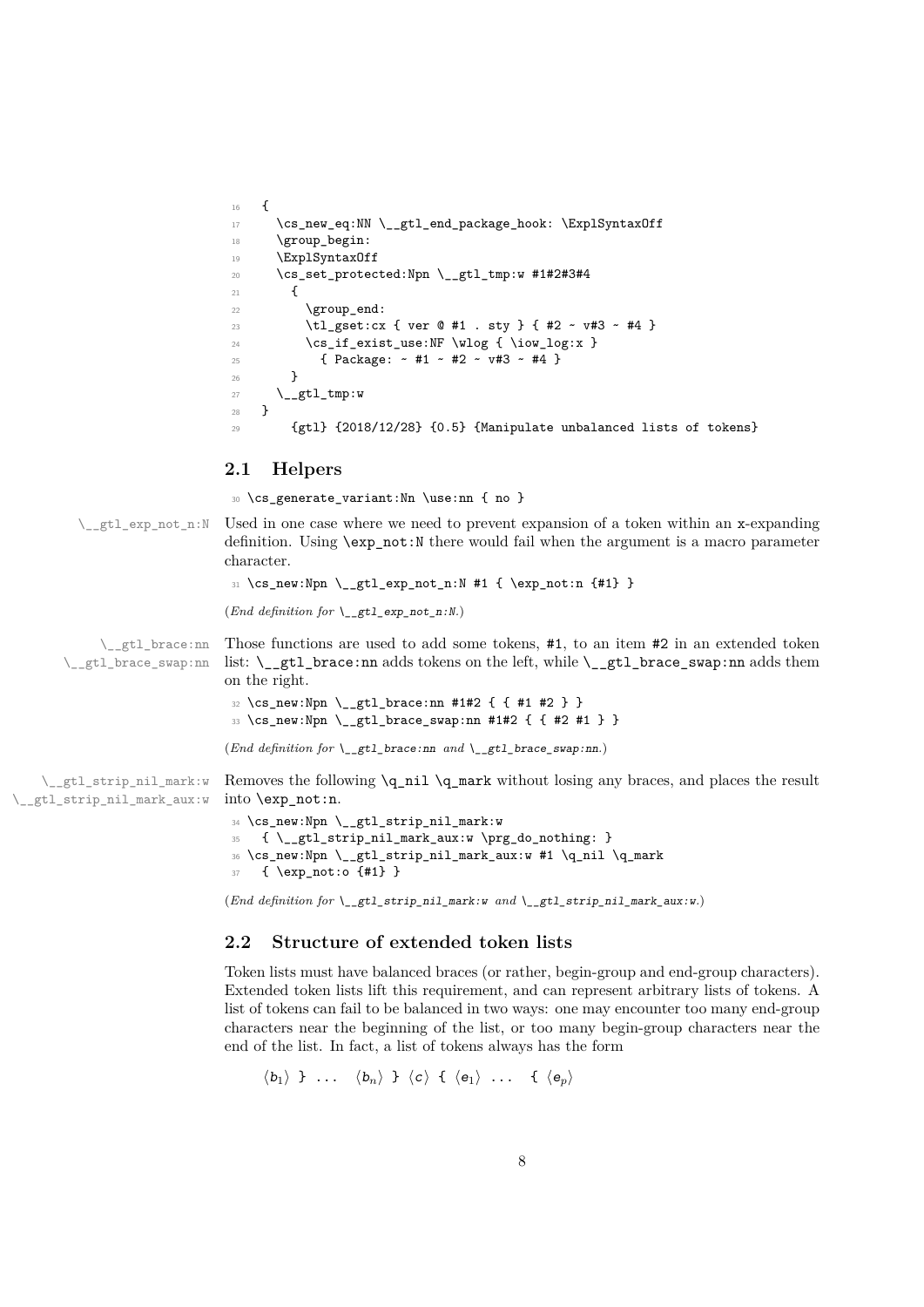```
16 {
17 \cs_new_eq:NN \__gtl_end_package_hook: \ExplSyntaxOff
18 \group_begin:
19 \ExplSyntaxOff
20 \cs_set_protected:Npn \__gtl_tmp:w #1#2#3#4
21 \sim \sim \sim22 \qquad \qquad \qquad \qquad \qquad \text{group\_end:}23 \tl_gset:cx { ver @ #1 . sty } { #2 ~ v#3 ~ #4 }
24 \cs_if_exist_use:NF \wlog { \iow_log:x }
25 { Package: ~ #1 ~ #2 ~ v#3 ~ #4 }
26 }
27 \qquad \qquad \searrow _gtl_tmp:w
28 }
29 {gtl} {2018/12/28} {0.5} {Manipulate unbalanced lists of tokens}
```
#### <span id="page-7-0"></span>**2.1 Helpers**

<sup>30</sup> \cs\_generate\_variant:Nn \use:nn { no }

 $\_{\text{gtl\_exp\_not\_n:}N}$  Used in one case where we need to prevent expansion of a token within an x-expanding definition. Using \exp\_not:N there would fail when the argument is a macro parameter character.

```
31 \ \csim \Psi: Npn \ \_gt;gt1\text{-}not\_n: N #1 { \exp_not: n {#1}}
```
(*End definition for* \\_\_gtl\_exp\_not\_n:N*.*)

\\_\_gtl\_brace:nn \\_\_gtl\_brace\_swap:nn Those functions are used to add some tokens, #1, to an item #2 in an extended token list:  $\_{gt}$  the left, while  $\_{gt}$  and  $\frac{1}{2}$  brace\_swap:nn adds them on the right.

```
32 \text{ \&\_new: Npn \ } \_gt\_gt1\_brace:nn #1#2 { { #1 #2 } }
33 \cs_new:Npn \__gtl_brace_swap:nn #1#2 { { #2 #1 } }
```
(*End definition for* \\_\_gtl\_brace:nn *and* \\_\_gtl\_brace\_swap:nn*.*)

\\_\_gtl\_strip\_nil\_mark:w \\_\_gtl\_strip\_nil\_mark\_aux:w Removes the following  $q_n$ il  $q_n$ ark without losing any braces, and places the result into \exp\_not:n.

```
34 \cs_new:Npn \__gtl_strip_nil_mark:w
35 { \__gtl_strip_nil_mark_aux:w \prg_do_nothing: }
_{36} \cs_new:Npn \__gtl_strip_nil_mark_aux:w #1 \q_nil \q_mark
37 { \exp_not:o {#1} }
```
(*End definition for* \\_\_gtl\_strip\_nil\_mark:w *and* \\_\_gtl\_strip\_nil\_mark\_aux:w*.*)

#### <span id="page-7-1"></span>**2.2 Structure of extended token lists**

Token lists must have balanced braces (or rather, begin-group and end-group characters). Extended token lists lift this requirement, and can represent arbitrary lists of tokens. A list of tokens can fail to be balanced in two ways: one may encounter too many end-group characters near the beginning of the list, or too many begin-group characters near the end of the list. In fact, a list of tokens always has the form

 $\langle b_1 \rangle$  } ...  $\langle b_n \rangle$  }  $\langle c \rangle$  {  $\langle e_1 \rangle$  ... {  $\langle e_n \rangle$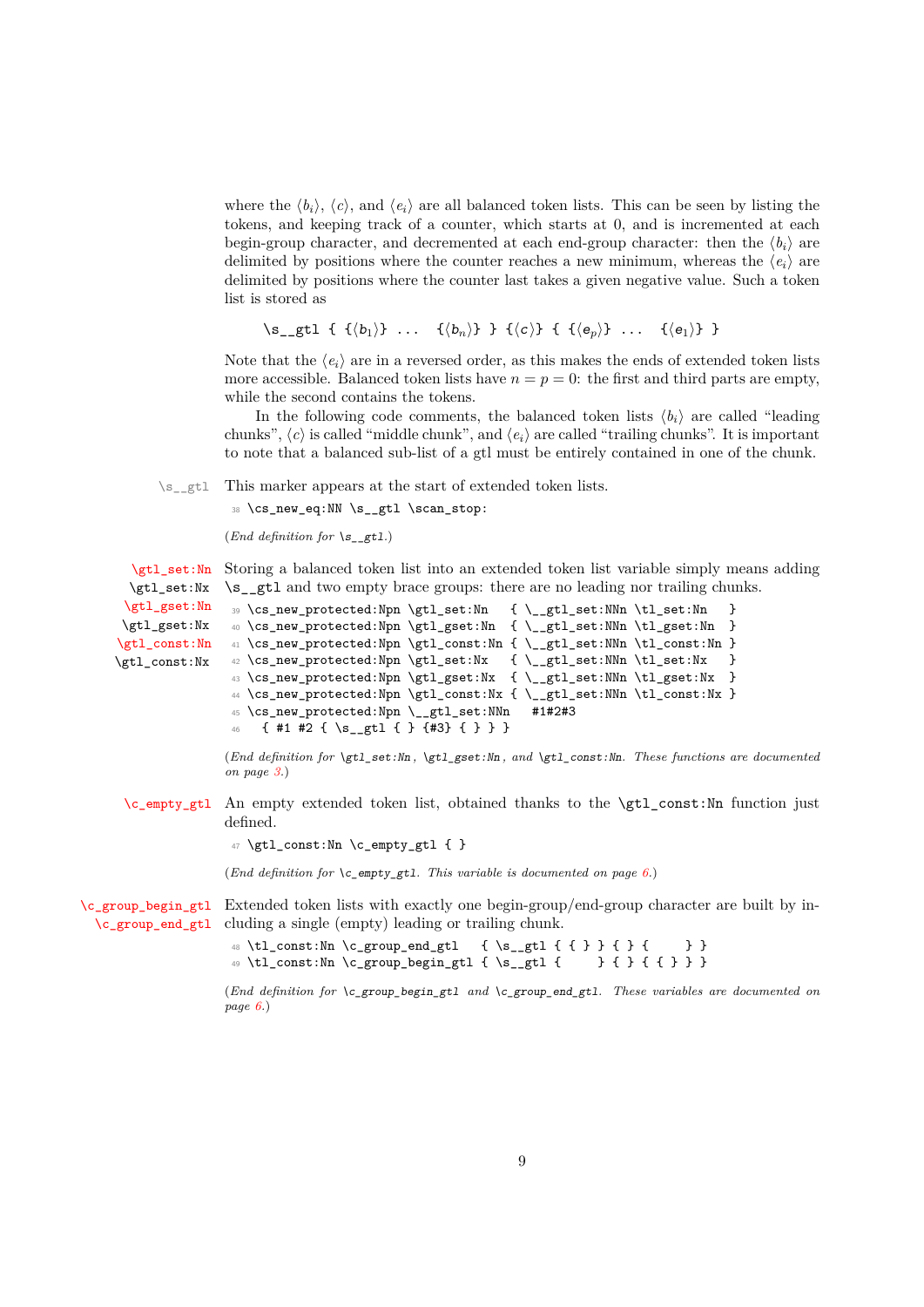where the  $\langle b_i \rangle$ ,  $\langle c \rangle$ , and  $\langle e_i \rangle$  are all balanced token lists. This can be seen by listing the tokens, and keeping track of a counter, which starts at 0, and is incremented at each begin-group character, and decremented at each end-group character: then the  $\langle b_i \rangle$  are delimited by positions where the counter reaches a new minimum, whereas the  $\langle e_i \rangle$  are delimited by positions where the counter last takes a given negative value. Such a token list is stored as

 $\simeq$  { {(b<sub>1</sub>)} ... {\b<sub>n</sub>)} } {\c)} { {\bnd{e<sub>p</sub>}} ... {\bnd{e<sub>1</sub>}} }

Note that the  $\langle e_i \rangle$  are in a reversed order, as this makes the ends of extended token lists more accessible. Balanced token lists have  $n = p = 0$ : the first and third parts are empty, while the second contains the tokens.

In the following code comments, the balanced token lists  $\langle b_i \rangle$  are called "leading chunks",  $\langle c \rangle$  is called "middle chunk", and  $\langle e_i \rangle$  are called "trailing chunks". It is important to note that a balanced sub-list of a gtl must be entirely contained in one of the chunk.

\s<sub>\_\_gtl</sub> This marker appears at the start of extended token lists.

38 \cs\_new\_eq:NN \s\_\_gtl \scan\_stop:

```
(End definition for \mathcal{S} gtl.)
```
[\gtl\\_set:Nn](#page-2-2) Storing a balanced token list into an extended token list variable simply means adding \gtl\_set:Nx \s gtl and two empty brace groups: there are no leading nor trailing chunks.

```
\gtl_gset:Nn
\gtl_gset:Nx
\gtl_const:Nn
\gtl_const:Nx
                39 \cs_new_protected:Npn \gtl_set:Nn { \__gtl_set:NNn \tl_set:Nn }
                 40 \cs_new_protected:Npn \gtl_gset:Nn { \_gtl_set:NNn \tl_gset:Nn }
                _{41} \csc\_new\_protected: Npn \gt stl\_const:Nn { \_{gt\_gtl\_set:NNn \tt \tl\_const:Nn}42 \text{ } \cs{new\_protected: Npn \gt{gtl\_set:Nx} \ \{-\_gtl\_set:NNn \tt\ll\_set:Nx}43 \cs_new_protected:Npn \gtl_gset:Nx { \_gtl_set:NNn \tl_gset:Nx }
                 44 \cs_new_protected:Npn \gtl_const:Nx { \__gtl_set:NNn \tl_const:Nx }
                 45 \cs_new_protected:Npn \__gtl_set:NNn #1#2#3
                    46 { #1 #2 { \s__gtl { } {#3} { } } }
```
(*End definition for* \gtl\_set:Nn *,* \gtl\_gset:Nn *, and* \gtl\_const:Nn*. These functions are documented on page [3.](#page-2-2)*)

[\c\\_empty\\_gtl](#page-5-3) An empty extended token list, obtained thanks to the \gtl\_const:Nn function just defined.

 $47 \text{ } \text{ } \text{const}: \text{Nn } \c$  empty\_gtl { }

(*End definition for* \c\_empty\_gtl*. This variable is documented on page [6.](#page-5-3)*)

[\c\\_group\\_begin\\_gtl](#page-5-4) Extended token lists with exactly one begin-group/end-group character are built by in-[\c\\_group\\_end\\_gtl](#page-5-5) cluding a single (empty) leading or trailing chunk.

```
48 \tl const:Nn \c group end gtl { \s gtl { { } } { } { } }
49 \tl_const:Nn \c_group_begin_gtl { \s__gtl { } { } { { } } }
```
(*End definition for* \c\_group\_begin\_gtl *and* \c\_group\_end\_gtl*. These variables are documented on page [6.](#page-5-4)*)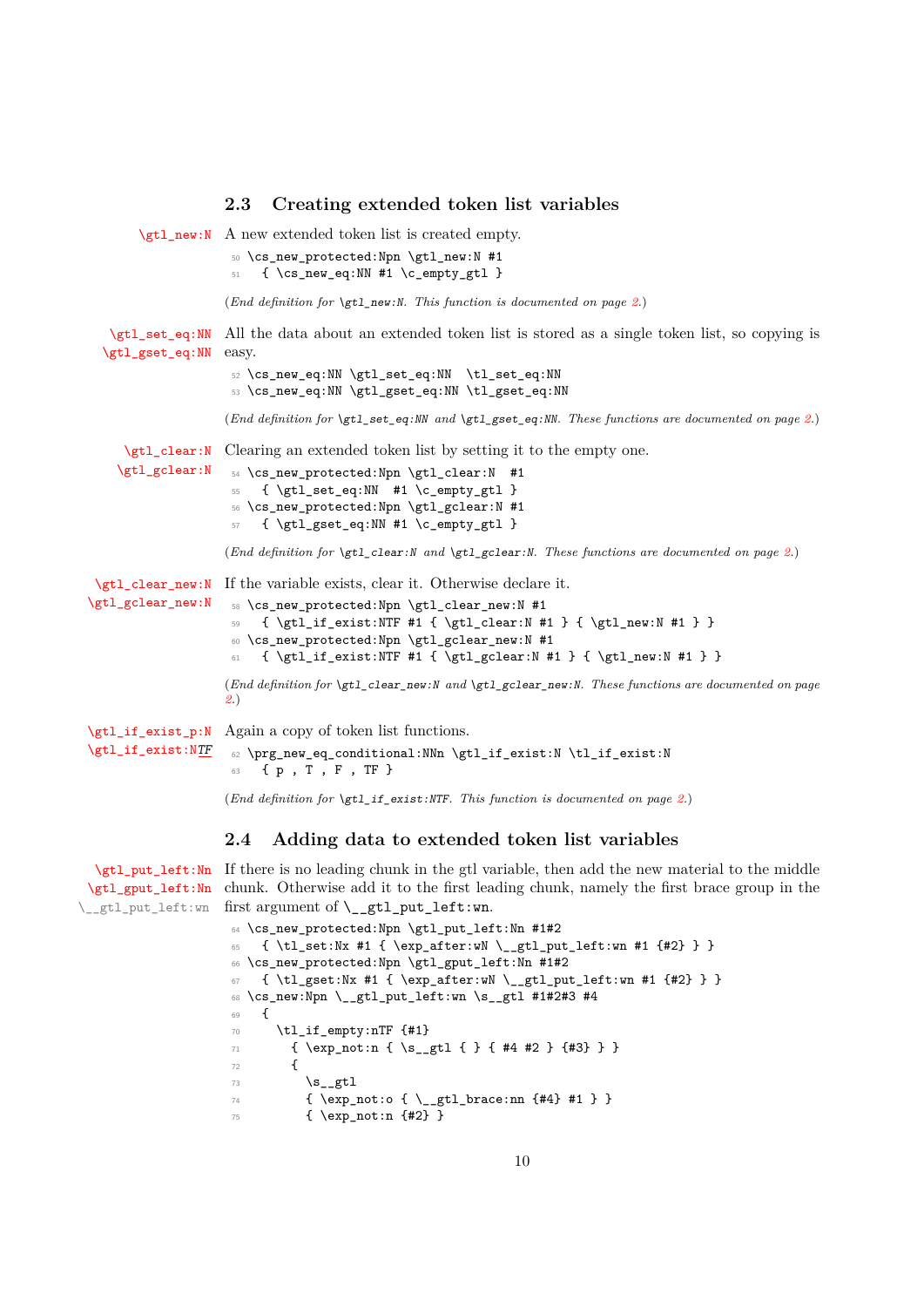```
2.3 Creating extended token list variables
       \gtl_new:N A new extended token list is created empty.
                    50 \cs_new_protected:Npn \gtl_new:N #1
                    51 { \cs_new_eq:NN #1 \c_empty_gtl }
                   (End definition for \gtl_new:N. This function is documented on page 2.)
   \gtl_set_eq:NN
All the data about an extended token list is stored as a single token list, so copying is
  \gtl_gset_eq:NN
easy.
                    52 \cs_new_eq:NN \gtl_set_eq:NN \tl_set_eq:NN
                    53 \cs_new_eq:NN \gtl_gset_eq:NN \tl_gset_eq:NN
                   (End definition for \gtl_set_eq:NN and \gtl_gset_eq:NN. These functions are documented on page 2.)
     \gtl_clear:N
Clearing an extended token list by setting it to the empty one.
    \gtl gclear:N
                    54 \cs_new_protected:Npn \gtl_clear:N #1
                    55 { \gtl_set_eq:NN #1 \c_empty_gtl }
                    56 \cs_new_protected:Npn \gtl_gclear:N #1
                    57 { \gtl_gset_eq:NN #1 \c_empty_gtl }
                   (End definition for \gtl_clear:N and \gtl_gclear:N. These functions are documented on page 2.)
 \gtl_clear_new:N
If the variable exists, clear it. Otherwise declare it.
\gtl_gclear_new:N
                    58 \cs_new_protected:Npn \gtl_clear_new:N #1
                    59 { \gtl_if_exist:NTF #1 { \gtl_clear:N #1 } { \gtl_new:N #1 } }
                    60 \cs_new_protected:Npn \gtl_gclear_new:N #1
                    61 { \gtl_if_exist:NTF #1 { \gtl_gclear:N #1 } { \gtl_new:N #1 } }
                   (End definition for \gtl_clear_new:N and \gtl_gclear_new:N. These functions are documented on page
                   2.)
\gtl_if_exist_p:N
Again a copy of token list functions.
\gtl_if_exist:NTF
                   62 \prg_new_eq_conditional:NNn \gtl_if_exist:N \tl_if_exist:N
```

```
63 { p , T , F , TF }
```
(*End definition for* \gtl\_if\_exist:NTF*. This function is documented on page [2.](#page-1-7)*)

#### <span id="page-9-1"></span>**2.4 Adding data to extended token list variables**

[\gtl\\_put\\_left:Nn](#page-2-3) If there is no leading chunk in the gtl variable, then add the new material to the middle [\gtl\\_gput\\_left:Nn](#page-2-3) chunk. Otherwise add it to the first leading chunk, namely the first brace group in the \\_\_gtl\_put\_left:wn first argument of \\_\_gtl\_put\_left:wn.

```
64 \cs_new_protected:Npn \gtl_put_left:Nn #1#2
65 { \tl_set:Nx #1 { \exp_after:wN \_gtl_put_left:wn #1 {#2} } }
66 \cs_new_protected:Npn \gtl_gput_left:Nn #1#2
67 { \tl_gset:Nx #1 { \exp_after:wN \__gtl_put_left:wn #1 {#2} } }
68 \text{ Cs_new: Npn } \_gt;69 \frac{1}{2}70 \tl_if_empty:nTF {#1}
71 { \exp_not:n { \s_gtl { } { #4 #2 } {#3} } }
72 \left\{ \begin{array}{c} \end{array} \right\}\mathsf{S}_\text{gtl}74 { \exp_not:o { \_gtl_brace:nn {#4} #1 } }
75 { \exp_not:n {#2} }
```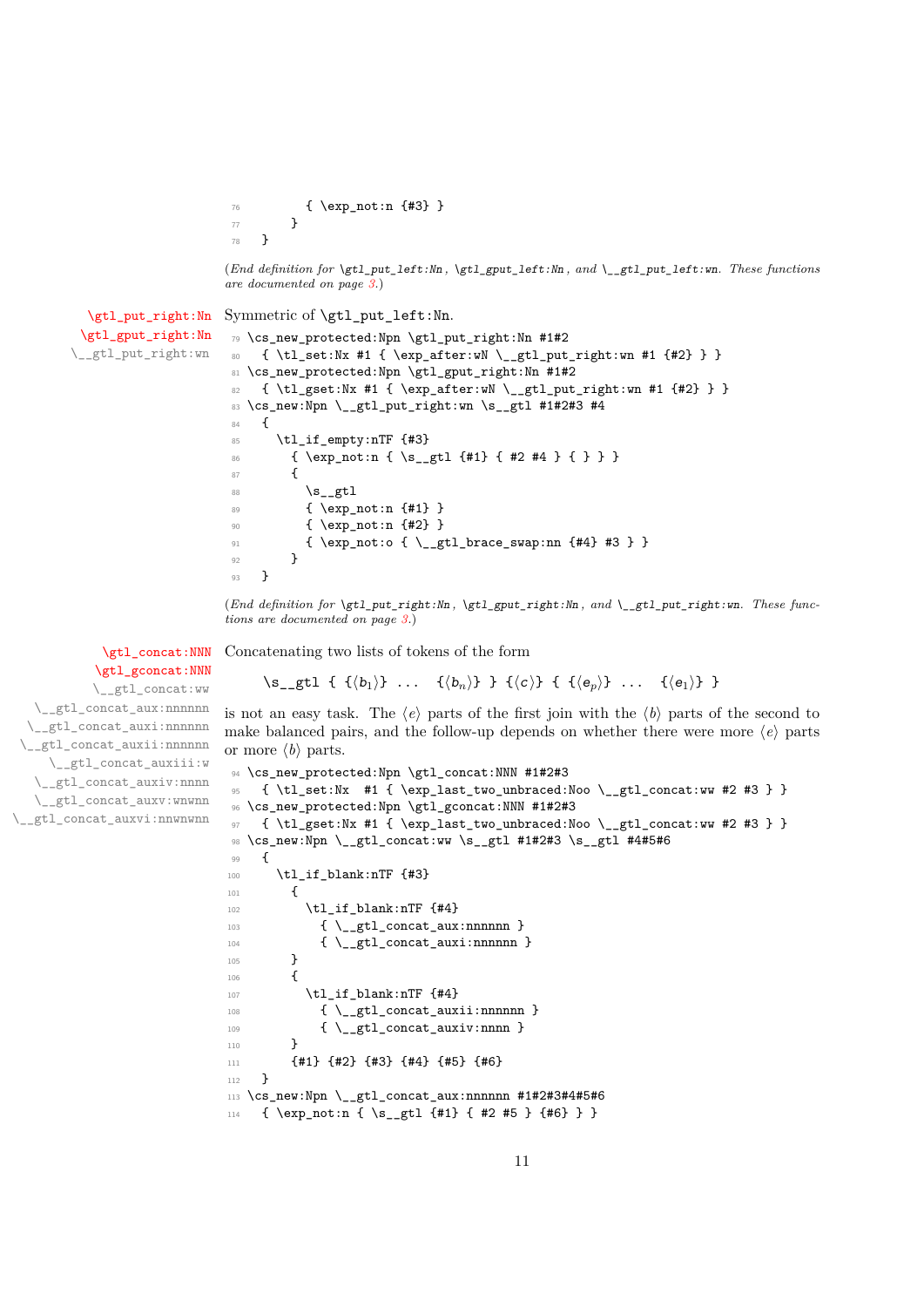<sup>76</sup> { \exp\_not:n {#3} } <sup>77</sup> } <sup>78</sup> }

(*End definition for* \gtl\_put\_left:Nn *,* \gtl\_gput\_left:Nn *, and* \\_\_gtl\_put\_left:wn*. These functions are documented on page [3.](#page-2-3)*)

```
\gtl_put_right:Nn
Symmetric of \gtl_put_left:Nn.
 \gtl_gput_right:Nn
\__gtl_put_right:wn
                     79 \cs_new_protected:Npn \gtl_put_right:Nn #1#2
                     80 { \tl_set:Nx #1 { \exp_after:wN \__gtl_put_right:wn #1 {#2} } }
                     81 \cs_new_protected:Npn \gtl_gput_right:Nn #1#2
                     82 { \tl_gset:Nx #1 { \exp_after:wN \__gtl_put_right:wn #1 {#2} } }
                     83 \cs_new:Npn \__gtl_put_right:wn \s__gtl #1#2#3 #4
                     84 {
                     85 \tl if empty:nTF {#3}
                     86 { \exp_not:n { \s_gtl {#1} { #2 #4 } { } } }
                     87 {
                     88 \mathcal{S}_{-gt1}89 { \exp_not:n {#1} }
                     90 { \exp_not:n {#2} }
                     \frac{91}{4} { \exp_not:o { \_gtl_brace_swap:nn {#4} #3 } }
                     92 }
                     93 }
```
(*End definition for* \gtl\_put\_right:Nn *,* \gtl\_gput\_right:Nn *, and* \\_\_gtl\_put\_right:wn*. These functions are documented on page [3.](#page-2-4)*)

Concatenating two lists of tokens of the form

#### [\gtl\\_concat:NNN](#page-1-8) [\gtl\\_gconcat:NNN](#page-1-8)

\\_\_gtl\_concat:ww \\_\_gtl\_concat\_aux:nnnnnn \\_\_gtl\_concat\_auxi:nnnnnn \\_gtl\_concat\_auxii:nnnnnn \\_\_gtl\_concat\_auxiii:w \\_\_gtl\_concat\_auxiv:nnnn \\_\_gtl\_concat\_auxv:wnwnn \\_\_gtl\_concat\_auxvi:nnwnwnn

```
\simeq { {(b<sub>1</sub>)} ... {(b<sub>n</sub>)} } {(c)} { {(e<sub>n</sub>)} ... {(e<sub>1</sub>)} }
```
is not an easy task. The  $\langle e \rangle$  parts of the first join with the  $\langle b \rangle$  parts of the second to make balanced pairs, and the follow-up depends on whether there were more  $\langle e \rangle$  parts or more  $\langle b \rangle$  parts.

```
94 \cs_new_protected:Npn \gtl_concat:NNN #1#2#3
95 { \tl_set:Nx #1 { \exp_last_two_unbraced:Noo \__gtl_concat:ww #2 #3 } }
96 \cs_new_protected:Npn \gtl_gconcat:NNN #1#2#3
97 { \tl_gset:Nx #1 { \exp_last_two_unbraced:Noo \__gtl_concat:ww #2 #3 } }
98 \cs_new:Npn \__gtl_concat:ww \s__gtl #1#2#3 \s__gtl #4#5#6
99 {
100 \tl_if_blank:nTF {#3}
101 {
102 \text{tl}_if\_blank:nTF \{ \#4 \}103 \{\ \mathcal{N}_{\texttt{__gtl}\texttt{.concat}\texttt{_aux}:\texttt{nnnnnn }\}104 \{\ \mathcal{L}_\text{getl\_concat\_auxi:nnnnnn} \}105 }
106 f
107 \tilde{\text{1}} \tl_if_blank:nTF {#4}
108 \{\ \mathcal{L}_\text{gtl\_concat\_auxii:nnnnnn} \}109 \{\ \mathcal{L}_\text{getl\_concat\_auxiv:nnnn } \}110 }
111 {#1} {#2} {#3} {#4} {#5} {#6}
112 }
113 \cs_new:Npn \__gtl_concat_aux:nnnnnn #1#2#3#4#5#6
114 { \exp_not:n { \s__gtl {#1} { #2 #5 } {#6} } }
```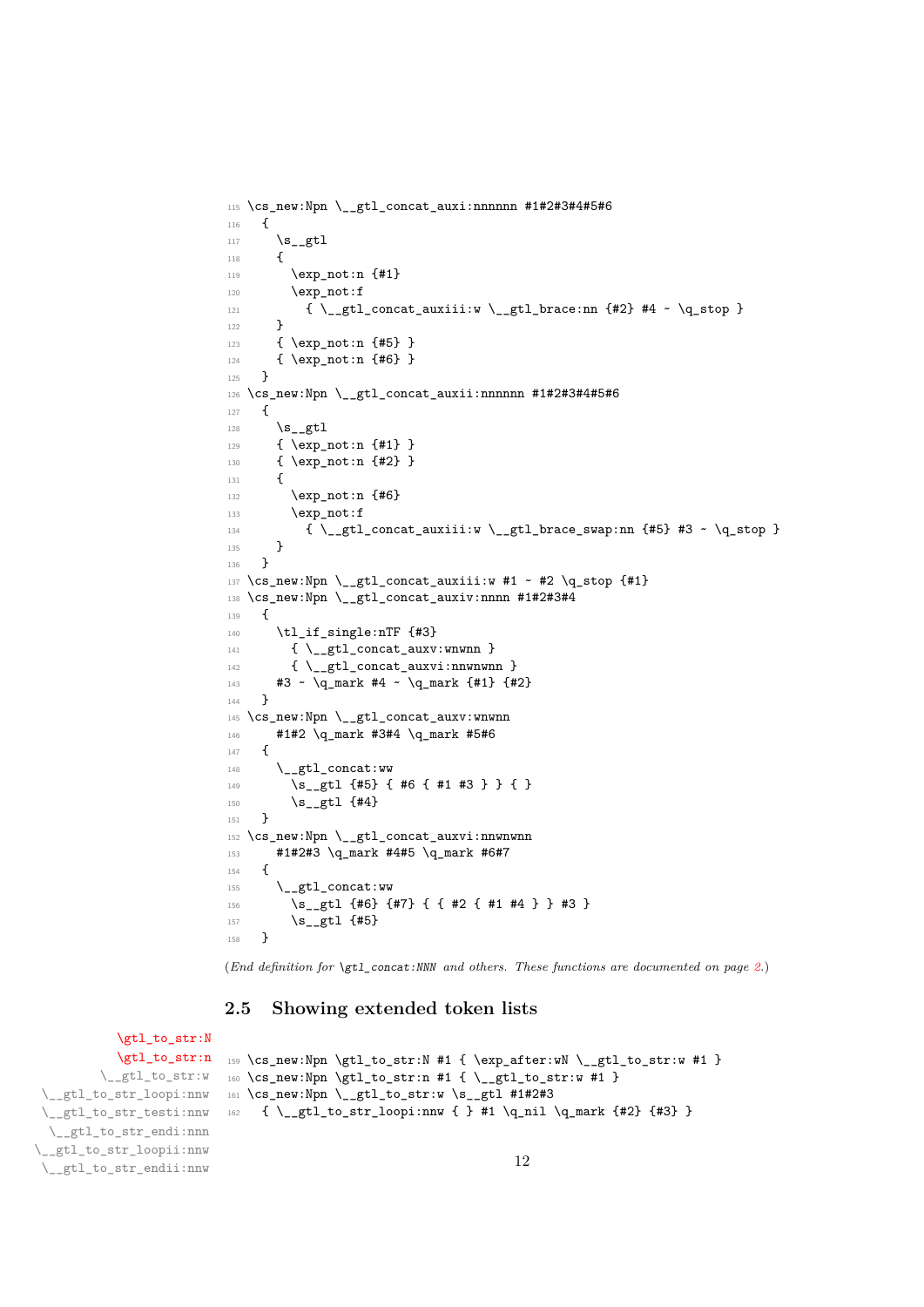```
115 \cs_new:Npn \__gtl_concat_auxi:nnnnnn #1#2#3#4#5#6
116 {
117 \s_gtl
118 {
119 \exp_not:n {#1}
120 \exp_not:f
121 {\ \{} {\ \{}122 }
123 { \exp_not:n {#5} }
124 { \exp_not:n {#6} }
125 }
_{126} \cs_new:Npn \__gtl_concat_auxii:nnnnnn #1#2#3#4#5#6
127 \frac{127}{120}128 \mathsf{S}_{-\mathsf{gtl}}129 { \exp_not:n {#1} }
130 { \exp_not:n {#2} }
131 {
132 \exp_not:n {#6}
133 \exp_not:f
134 \{\ \mathcal{N}_{\text{eff}}\ \{\ \mathcal{N}_{\text{eff}}\135 }
136 }
137 \cs_new:Npn \__gtl_concat_auxiii:w #1 ~ #2 \q_stop {#1}
138 \cs_new:Npn \_gtl_concat_auxiv:nnnn #1#2#3#4
139 {
140 \tl_if_single:nTF {#3}
141 \{ \ \mathcal{L}_\text{gtl\_concat\_auxv:www} \}142 \{ \ \mathcal{L}_g t1\_\text{concat}\_\text{auxvi:nnwmwm} \}143 #3 ~ \q_mark #4 ~ \q_mark {#1} {#2}
144 }
145 \cs_new:Npn \__gtl_concat_auxv:wnwnn
146 #1#2 \q_mark #3#4 \q_mark #5#6
147 {
148 \qquad \qquad \setminus _{\texttt{\_gt}} \texttt{stl\_concat}:w149 \s_gtl {#5} { #6 { #1 #3 } } { }
150 \s_{-}gt1 {#4}
151 }
152 \cs_new:Npn \__gtl_concat_auxvi:nnwnwnn
153 #1#2#3 \q_mark #4#5 \q_mark #6#7
154 {
155 \__gtl_concat:ww
156 \s_gtl {#6} {#7} { { #2 { #1 #4 } } #3 }
157 \s_{-gt1} {#5}
158 }
```
(*End definition for* \gtl\_concat:NNN *and others. These functions are documented on page [2.](#page-1-8)*)

#### <span id="page-11-0"></span>**2.5 Showing extended token lists**

[\gtl\\_to\\_str:N](#page-5-6) [\gtl\\_to\\_str:n](#page-5-6) \\_\_gtl\_to\_str:w \\_\_gtl\_to\_str\_loopi:nnw \\_\_gtl\_to\_str\_testi:nnw \\_\_gtl\_to\_str\_endi:nnn \\_\_gtl\_to\_str\_loopii:nnw \\_\_gtl\_to\_str\_endii:nnw

```
159 \cs_new:Npn \gtl_to_str:N #1 { \exp_after:wN \__gtl_to_str:w #1 }
160 \cs_new:Npn \gtl_to_str:n #1 { \__gtl_to_str:w #1 }
161 \cs_new:Npn \__gtl_to_str:w \s__gtl #1#2#3
162 { \_gtl_to_str_loopi:nnw { } #1 \q_nil \q_mark {#2} {#3} }
```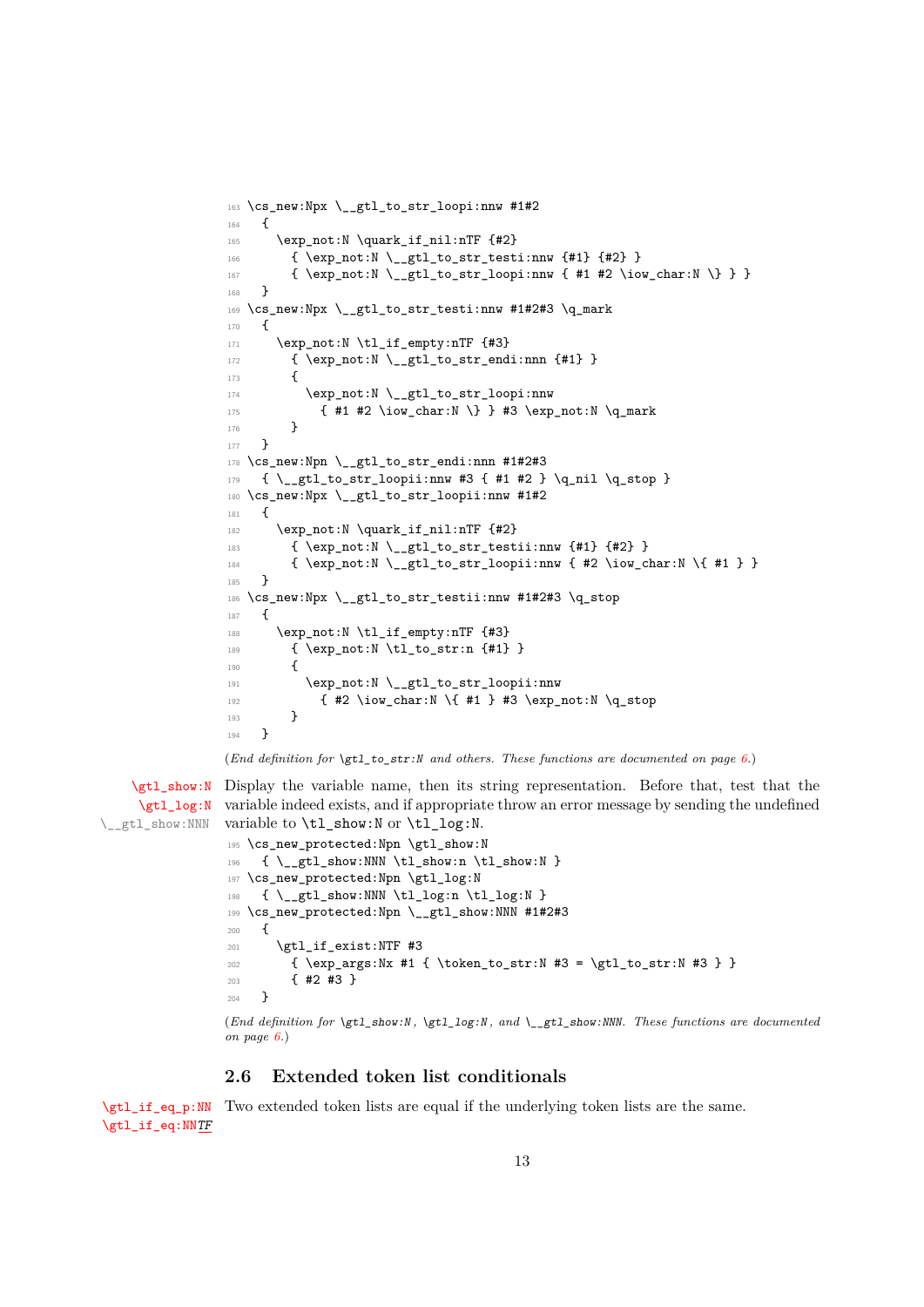```
163 \cs_new:Npx \__gtl_to_str_loopi:nnw #1#2
164 {
165 \exp_not:N \quark_if_nil:nTF {#2}
166 { \exp_not:N \__gtl_to_str_testi:nnw {#1} {#2} }
\verb|167| + \verb|167| + \verb|267| + \verb|267| + \verb|267| + \verb|267| + \verb|267| + \verb|267| + \verb|267| + \verb|267| + \verb|267| + \verb|267| + \verb|267| + \verb|267| + \verb|267| + \verb|267| + \verb|267| + \verb|267| + \verb|267| + \verb|267| + \verb|267| + \verb|267| + \verb|267| + \verb|267| + \verb|267| + \verb|267| + \verb|267| + \verb|2168 }
169 \cs_new:Npx \__gtl_to_str_testi:nnw #1#2#3 \q_mark
170 {
171 \exp_not:N \tl_if_empty:nTF {#3}
172 { \exp_not:N \_gtl_to_str_endi:nnn {#1} }
173 \overline{1}174 \exp_not:N \__gtl_to_str_loopi:nnw
175 { #1 #2 \iow_char:N \} } #3 \exp_not:N \q_mark
176 }
177 }
178 \cs_new:Npn \__gtl_to_str_endi:nnn #1#2#3
179 { \_gtl_to_str_loopii:nnw #3 { #1 #2 } \q_nil \q_stop }
180 \cs_new:Npx \__gtl_to_str_loopii:nnw #1#2
181 {
182 \exp_not:N \quark_if_nil:nTF {#2}
183 { \exp_not:N \__gtl_to_str_testii:nnw {#1} {#2} }
_{184} { \exp_not:N \_gtl_to_str_loopii:nnw { #2 \iow_char:N \{ #1 } }
185 }
186 \cs_new:Npx \_gtl_to_str_testii:nnw #1#2#3 \q_stop
187 {
188 \exp_not:N \tl_if_empty:nTF {#3}
189 { \exp_not:N \tl_to_str:n {#1} }
190 {
191 \exp_not:N \__gtl_to_str_loopii:nnw
192 { #2 \iow_char:N \{ #1 } #3 \exp_not:N \q_stop
193 }
194 }
```
(*End definition for*  $\text{let1 to str:N}$  *and others. These functions are documented on page [6.](#page-5-6)*)

[\gtl\\_show:N](#page-5-7) Display the variable name, then its string representation. Before that, test that the [\gtl\\_log:N](#page-5-7) \\_\_gtl\_show:NNN variable indeed exists, and if appropriate throw an error message by sending the undefined variable to  $\tilde{L}_\text{show}:N$  or  $\tilde{L}_\text{log}:N$ .

```
195 \cs_new_protected:Npn \gtl_show:N
196 \{ \ \mathcal{L}_gtl\_show: NNN \ tll\_show:n \ tll\_show:N \}197 \cs_new_protected:Npn \gtl_log:N
198 { \_gtl_show:NNN \tl_log:n \tl_log:N }
199 \cs_new_protected:Npn \_gtl_show:NNN #1#2#3
200 \frac{f}{f}201 \gtl_if_exist:NTF #3
202 \{ \exp \arcsin x #1 f \token to str:N #3 = \getl to str:N #3 } \}203 { #2 #3 }
204 }
```
(*End definition for* \gtl\_show:N *,* \gtl\_log:N *, and* \\_\_gtl\_show:NNN*. These functions are documented on page [6.](#page-5-7)*)

#### <span id="page-12-0"></span>**2.6 Extended token list conditionals**

[\gtl\\_if\\_eq\\_p:NN](#page-2-5) Two extended token lists are equal if the underlying token lists are the same. [\gtl\\_if\\_eq:NN](#page-2-5)[TF](#page-0-0)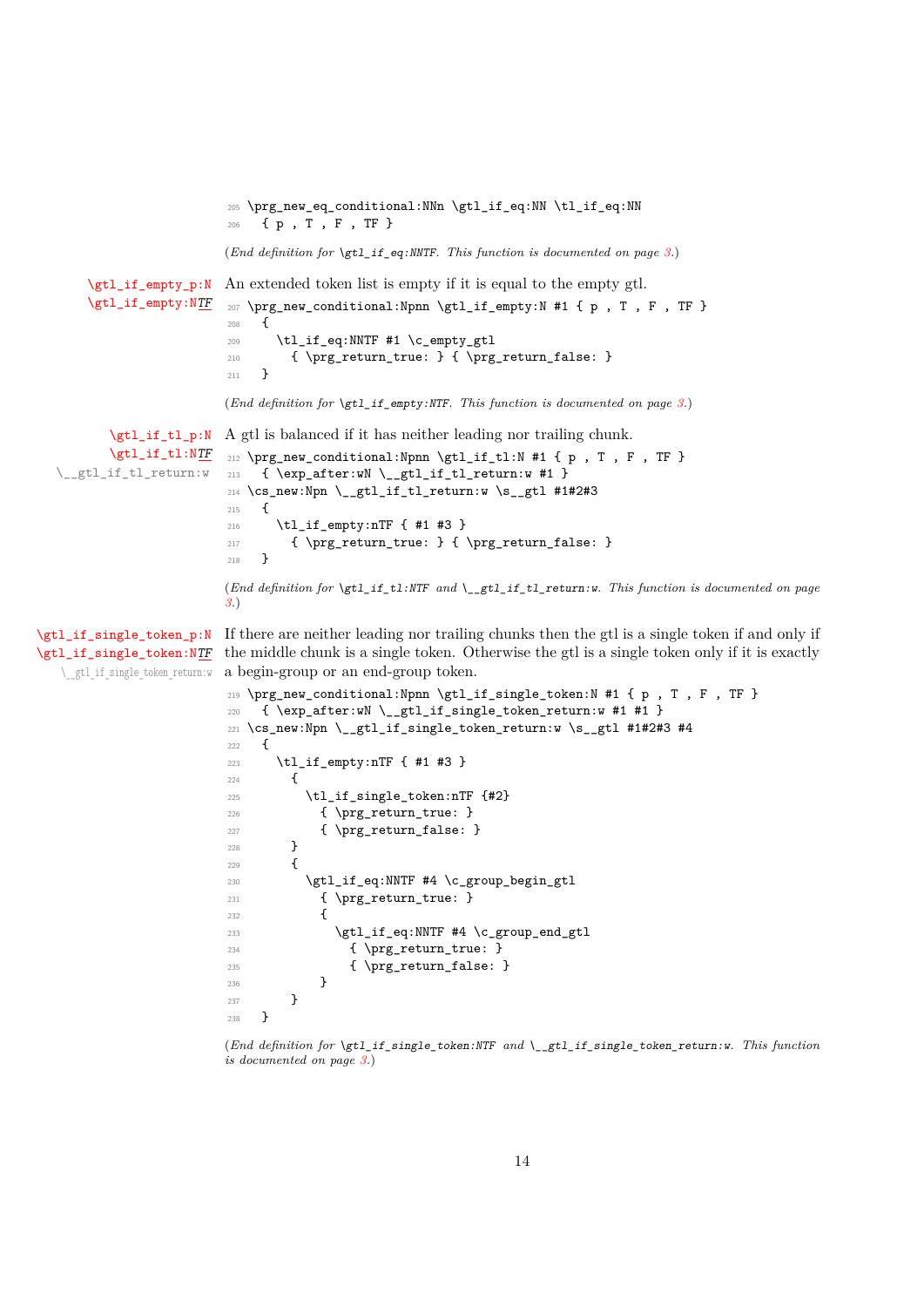<sup>205</sup> \prg\_new\_eq\_conditional:NNn \gtl\_if\_eq:NN \tl\_if\_eq:NN <sup>206</sup> { p , T , F , TF }

(*End definition for* \gtl\_if\_eq:NNTF*. This function is documented on page [3.](#page-2-5)*)

```
\gtl_if_empty_p:N
An extended token list is empty if it is equal to the empty gtl.
\gtl_if_empty:NTF
                                        207 \prg_new_conditional:Npnn \gtl_if_empty:N #1 { p , T , F , TF }
                                         208 {
                                         209 \tl_if_eq:NNTF #1 \c_empty_gtl
                                         \label{lem:210} {\pmb{\quad \quad \quad} {\pmb{\quad \quad} {\pmb{\quad \quad} {\pmb{\quad \quad} {\pmb{\quad \quad} {\pmb{\quad \quad} {\pmb{\quad \quad} {\pmb{\quad \quad} {\pmb{\quad \quad} {\pmb{\quad \quad} {\pmb{\quad \quad} {\pmb{\quad \quad} {\pmb{\quad \quad} {\pmb{\quad \quad} {\pmb{\quad \quad} {\pmb{\quad \quad} {\pmb{\quad \quad} {\pmb{\quad \quad} {\pmb{\quad \quad} {\pmb{\quad \quad} {\pmb{\quad \quad} {\pmb{\quad \quad} {\pmb{\quad \quad} {\pmb{\quad \quad} {\pmb{\quad \quad} {\pmb{\quad \quad} {\211 }
                                         (End definition for \gtl_if_empty:NTF. This function is documented on page 3.)
      \gtl_if_tl_p:N
A gtl is balanced if it has neither leading nor trailing chunk.
      \gtl_if_tl:NTF
```

```
\__gtl_if_tl_return:w
                       212 \prg_new_conditional:Npnn \gtl_if_tl:N #1 { p , T , F , TF }
                       213 { \exp_after:wN \__gtl_if_tl_return:w #1 }
                        214 \cs_new:Npn \__gtl_if_tl_return:w \s__gtl #1#2#3
                       215 \sim216 \tl_if_empty:nTF { #1 #3 }
                        217 { \prg_return_true: } { \prg_return_false: }
                        218 }
                       (End definition for \gtl_if_tl:NTF and \__gtl_if_tl_return:w. This function is documented on page
```
[\gtl\\_if\\_single\\_token:N](#page-2-8)[TF](#page-0-0) \\_\_gtl\_if\_single\_token\_return:w *[3.](#page-2-7)*)

[\gtl\\_if\\_single\\_token\\_p:N](#page-2-8) If there are neither leading nor trailing chunks then the gtl is a single token if and only if the middle chunk is a single token. Otherwise the gtl is a single token only if it is exactly a begin-group or an end-group token.

```
219 \prg_new_conditional:Npnn \gtl_if_single_token:N #1 { p , T , F , TF }
220 { \exp_{aff} wN \_gtgtl\_if\_single\_token\_return:w #1 #1 }221 \cs_new:Npn \__gtl_if_single_token_return:w \s__gtl #1#2#3 #4
222 \{223 \tl_if_empty:nTF { #1 #3 }
224 {
225 \tl_if_single_token:nTF {#2}
226 { \prg_return_true: }
227 					{ \prg_return_false: }
228 }
229230 \gtl_if_eq:NNTF #4 \c_group_begin_gtl
231 { \prg_return_true: }
232 \qquad \qquad \text{ }233 \gtl_if_eq:NNTF #4 \c_group_end_gtl
234 { \prg_return_true: }
235 { \prg_return_false: }
236 }
237 }
238
```
(*End definition for* \gtl\_if\_single\_token:NTF *and* \\_\_gtl\_if\_single\_token\_return:w*. This function is documented on page [3.](#page-2-8)*)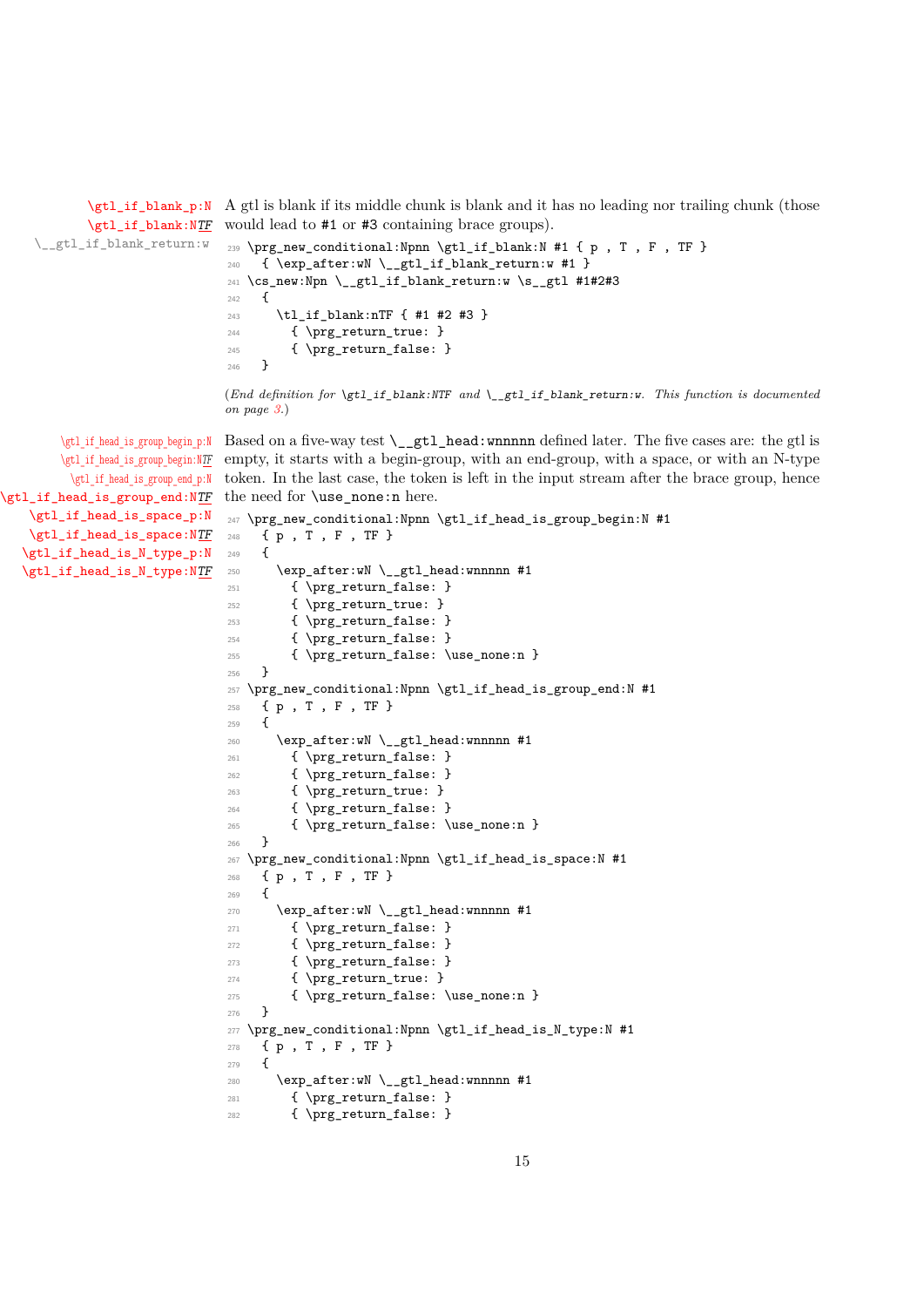[\gtl\\_if\\_blank\\_p:N](#page-2-9) A gtl is blank if its middle chunk is blank and it has no leading nor trailing chunk (those [\gtl\\_if\\_blank:N](#page-2-9)[TF](#page-0-0) would lead to #1 or #3 containing brace groups).

```
\__gtl_if_blank_return:w
                          239 \prg_new_conditional:Npnn \gtl_if_blank:N #1 { p , T , F , TF }
                          240 { \exp_after:wN \__gtl_if_blank_return:w #1 }
                          241 \cs_new:Npn \__gtl_if_blank_return:w \s__gtl #1#2#3
                          242 \frac{1}{2}243 \tl_if_blank:nTF { #1 #2 #3 }
                          244 { \prg_return_true: }
                          245 { \prg_return_false: }
                          246 }
```
(*End definition for* \gtl\_if\_blank:NTF *and* \\_\_gtl\_if\_blank\_return:w*. This function is documented on page [3.](#page-2-9)*)

[\gtl\\_if\\_head\\_is\\_group\\_begin\\_p:N](#page-4-1) Based on a five-way test \\_\_gtl\_head:wnnnnn defined later. The five cases are: the gtl is [\gtl\\_if\\_head\\_is\\_group\\_begin:N](#page-4-1)[TF](#page-0-0) \gtl if head is group end p:N [\gtl\\_if\\_head\\_is\\_group\\_end:N](#page-4-1)[TF](#page-0-0) empty, it starts with a begin-group, with an end-group, with a space, or with an N-type token. In the last case, the token is left in the input stream after the brace group, hence the need for **\use** none:n here.

```
\gtl_if_head_is_space_p:N
\gtl_if_head_is_space:NTF
\gtl_if_head_is_N_type_p:N
\gtl_if_head_is_N_type:NTF
                            247 \prg_new_conditional:Npnn \gtl_if_head_is_group_begin:N #1
                            248 { p , T , F , TF }
                            249 {
                            250 \exp_after:wN \__gtl_head:wnnnnn #1
                            251 { \prg_return_false: }
                            252 { \prg_return_true: }
                            253 { \prg_return_false: }
                            254 { \prg_return_false: }
                            255 { \prg_return_false: \use_none:n }
                            256 }
                            257 \prg_new_conditional:Npnn \gtl_if_head_is_group_end:N #1
                            258 { p , T , F , TF }
                            259 \{260 \qquad \verb|\exp_after: wN \ \_gt\_gtl\_head:wnnnnn  #1261 { \prg_return_false: }
                            262 { \prg_return_false: }
                            263 { \prg_return_true: }
                            264 { \prg_return_false: }
                            265 { \prg_return_false: \use_none:n }
                            266 }
                            267 \prg_new_conditional:Npnn \gtl_if_head_is_space:N #1
                            268 { p , T , F , TF }
                            269 {
                            270 \text{exp} \text{ after}:wN \setminus gt1 \text{ head}:wnnnnn #1271 { \prg_return_false: }
                            272 { \prg_return_false: }
                            273 { \prg_return_false: }
                            274 { \prg_return_true: }
                            \{ \preccurlyeq_{\text{false}: \use\_none:n} \}276
                            277 \prg_new_conditional:Npnn \gtl_if_head_is_N_type:N #1
                            278 { p , T , F , TF }
                            279 \sim 5
                            280 \qquad \verb|\exp_after:wN \verb|\\_gtl_head:wnnnnn #1|281 { \prg_return_false: }
                            282 { \prg_return_false: }
```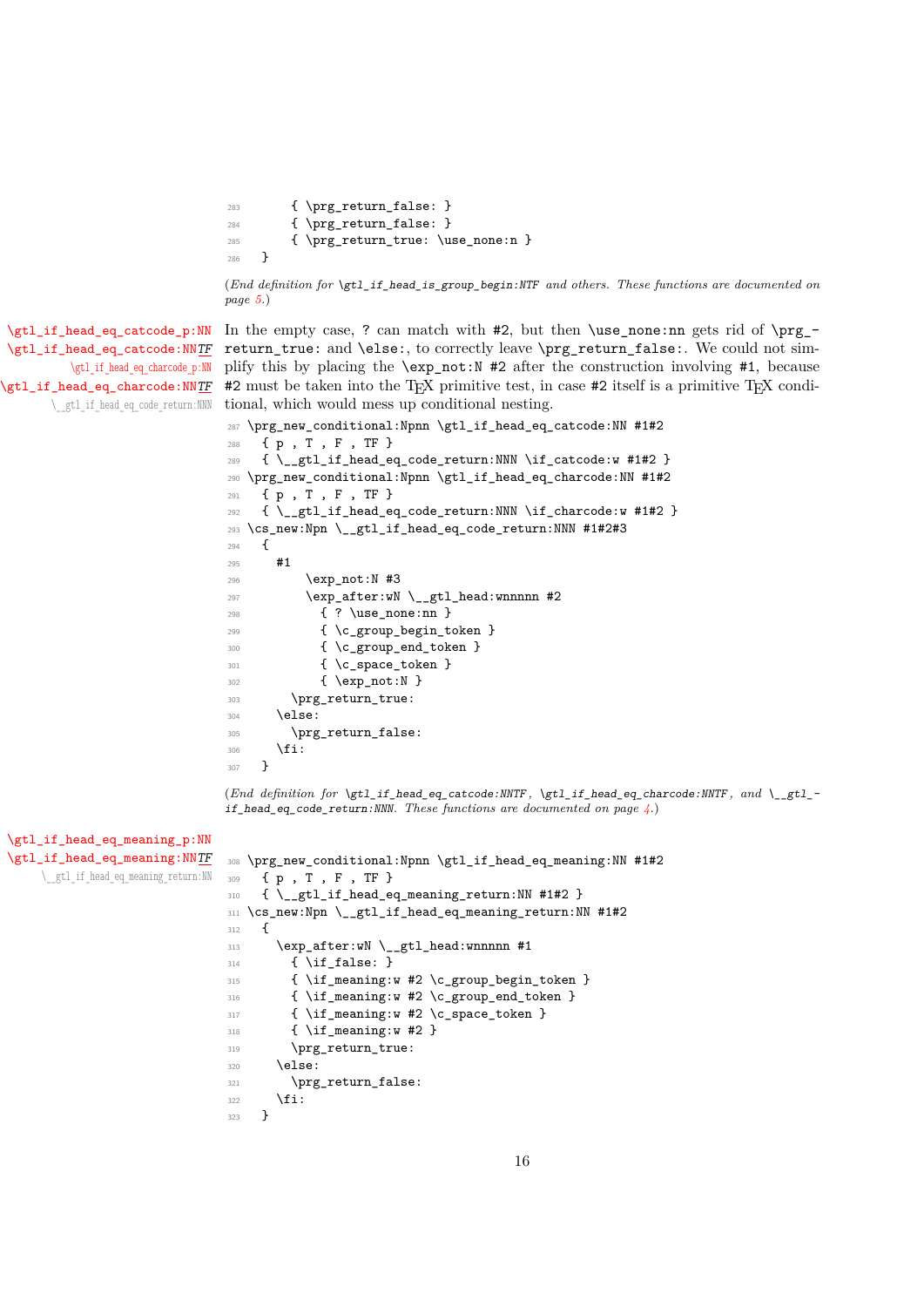```
283 { \prg_return_false: }
284 { \prg_return_false: }
285 { \prg_return_true: \use_none:n }
286 }
```
(*End definition for* \gtl\_if\_head\_is\_group\_begin:NTF *and others. These functions are documented on page [5.](#page-4-1)*)

[\gtl\\_if\\_head\\_eq\\_charcode\\_p:NN](#page-3-2) [\gtl\\_if\\_head\\_eq\\_charcode:NN](#page-3-2)[TF](#page-0-0) \\_\_gtl\_if\_head\_eq\_code\_return:NNN

```
\gtl_if_head_eq_catcode_p:NN
In the empty case, ? can match with #2, but then \use_none:nn gets rid of \prg_-
\gtl_if_head_eq_catcode:NNTF return_true: and \else:, to correctly leave \prg_return_false:. We could not sim-
                               plify this by placing the \exp_not:N #2 after the construction involving #1, because
                               #2 must be taken into the T<sub>E</sub>X primitive test, in case #2 itself is a primitive T<sub>E</sub>X condi-
                               tional, which would mess up conditional nesting.
```

```
287 \prg_new_conditional:Npnn \gtl_if_head_eq_catcode:NN #1#2
288 { p , T , F , TF }
289 {\_gtl_if_head_eq_code_return:NNN \if_catcode:w #1#2 }
290 \prg_new_conditional:Npnn \gtl_if_head_eq_charcode:NN #1#2
291 { p , T , F , TF }
292 { \__gtl_if_head_eq_code_return:NNN \if_charcode:w #1#2 }
293 \cs_new:Npn \__gtl_if_head_eq_code_return:NNN #1#2#3
294 {
295 #1
296 \exp_not:N #3
297 \exp_after:wN \__gtl_head:wnnnnn #2
298 { ? \use_none:nn }
299 					{ \c_group_begin_token }
300 { \c_group_end_token }
301 { \c_space_token }
302 { \exp_not:N }
303 \prg_return_true:
304 \else:
305 \prg_return_false:
306 \fi:
307 }
```
(*End definition for* \gtl\_if\_head\_eq\_catcode:NNTF *,* \gtl\_if\_head\_eq\_charcode:NNTF *, and* \\_\_gtl\_ if\_head\_eq\_code\_return:NNN*. These functions are documented on page [4.](#page-3-1)*)

```
\gtl_if_head_eq_meaning_p:NN
\gtl_if_head_eq_meaning:NNTF
     \__gtl_if_head_eq_meaning_return:NN
```

```
308 \prg_new_conditional:Npnn \gtl_if_head_eq_meaning:NN #1#2
309 { p , T , F , TF }
310 { \ gtl_if_head_eq_meaning_return:NN #1#2 }
311 \cs_new:Npn \__gtl_if_head_eq_meaning_return:NN #1#2
312 \frac{1}{2}313 \exp_after:wN \__gtl_head:wnnnnn #1
314 { \if false: }
315 { \if_meaning:w #2 \c_group_begin_token }
316 { \if_meaning:w #2 \c_group_end_token }
317 { \if_meaning:w #2 \c_space_token }
318 { \if_meaning:w #2 }
319 \prg_return_true:
320 \qquad \text{lelesc:}321 \prg_return_false:
322 \qquad \text{ifi:}323
```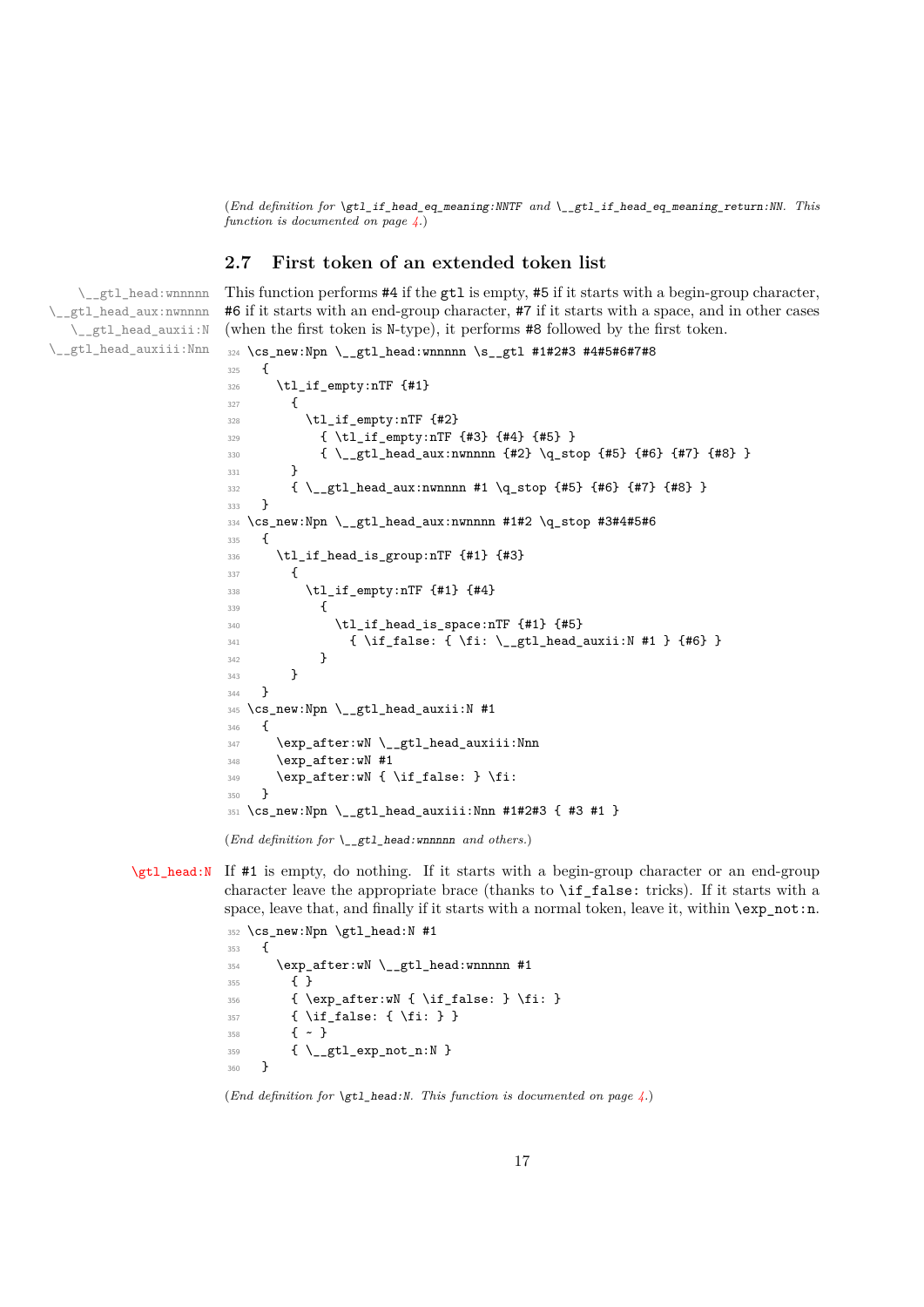(*End definition for* \gtl\_if\_head\_eq\_meaning:NNTF *and* \\_\_gtl\_if\_head\_eq\_meaning\_return:NN*. This function is documented on page [4.](#page-3-3)*)

#### <span id="page-16-0"></span>**2.7 First token of an extended token list**

\\_\_gtl\_head:wnnnnn \\_\_gtl\_head\_aux:nwnnnn \\_\_gtl\_head\_auxii:N \\_\_gtl\_head\_auxiii:Nnn This function performs #4 if the gtl is empty, #5 if it starts with a begin-group character, #6 if it starts with an end-group character, #7 if it starts with a space, and in other cases (when the first token is N-type), it performs #8 followed by the first token.

```
324 \cs_new:Npn \__gtl_head:wnnnnn \s__gtl #1#2#3 #4#5#6#7#8
325 \frac{1}{2}326 \tl_if_empty:nTF {#1}
327 \uparrow328 \tl_if_empty:nTF {#2}
329 { \tl_if_empty:nTF {#3} {#4} {#5} }
330 { \__gtl_head_aux:nwnnnn {#2} \q_stop {#5} {#6} {#7} {#8} }
331 }
332 { \_gtl_head_aux:nwnnnn #1 \q_stop {#5} {#6} {#7} {#8} }
333 }
334 \cs_new:Npn \__gtl_head_aux:nwnnnn #1#2 \q_stop #3#4#5#6
335 {
336 \tl_if_head_is_group:nTF {#1} {#3}
337 \big\{338 \tl_if_empty:nTF {#1} {#4}
339 \left\{ \begin{array}{c} 339 \end{array} \right.^{340} \tl_if_head_is_space:nTF {#1} {#5}
_{341} { \if_false: { \fi: \_gtl_head_auxii:N #1 } {#6} }
342 }
343 }
344 }
345 \cs_new:Npn \__gtl_head_auxii:N #1
346 {
347 \qquad \texttt{\texttt{key_after:wN \texttt{__}}gtl\_head\_auxiii:Nnn}348 \exp_after:wN #1
349 \exp_after:wN { \if_false: } \fi:
350 }
351 \ \text{cs\_new: Npn} \ \_gt\_gt1\_head\_auxiii: Nnn  #1#2#3 { #3 #1 }
```
(*End definition for* \\_\_gtl\_head:wnnnnn *and others.*)

[\gtl\\_head:N](#page-3-4) If #1 is empty, do nothing. If it starts with a begin-group character or an end-group character leave the appropriate brace (thanks to \if\_false: tricks). If it starts with a space, leave that, and finally if it starts with a normal token, leave it, within  $\exp not:n$ .

```
352 \cs_new:Npn \gtl_head:N #1
353 {
354 \exp_after:wN \__gtl_head:wnnnnn #1
355 { }
356 \{ \exp_after: wN {\left_false: } \fi \}357 \{ \if{false: {\if{}}\} \}358 \{ \sim \}359 { \__gtl_exp_not_n:N }
360 }
```

```
(End definition for \gtl_head:N. This function is documented on page 4.)
```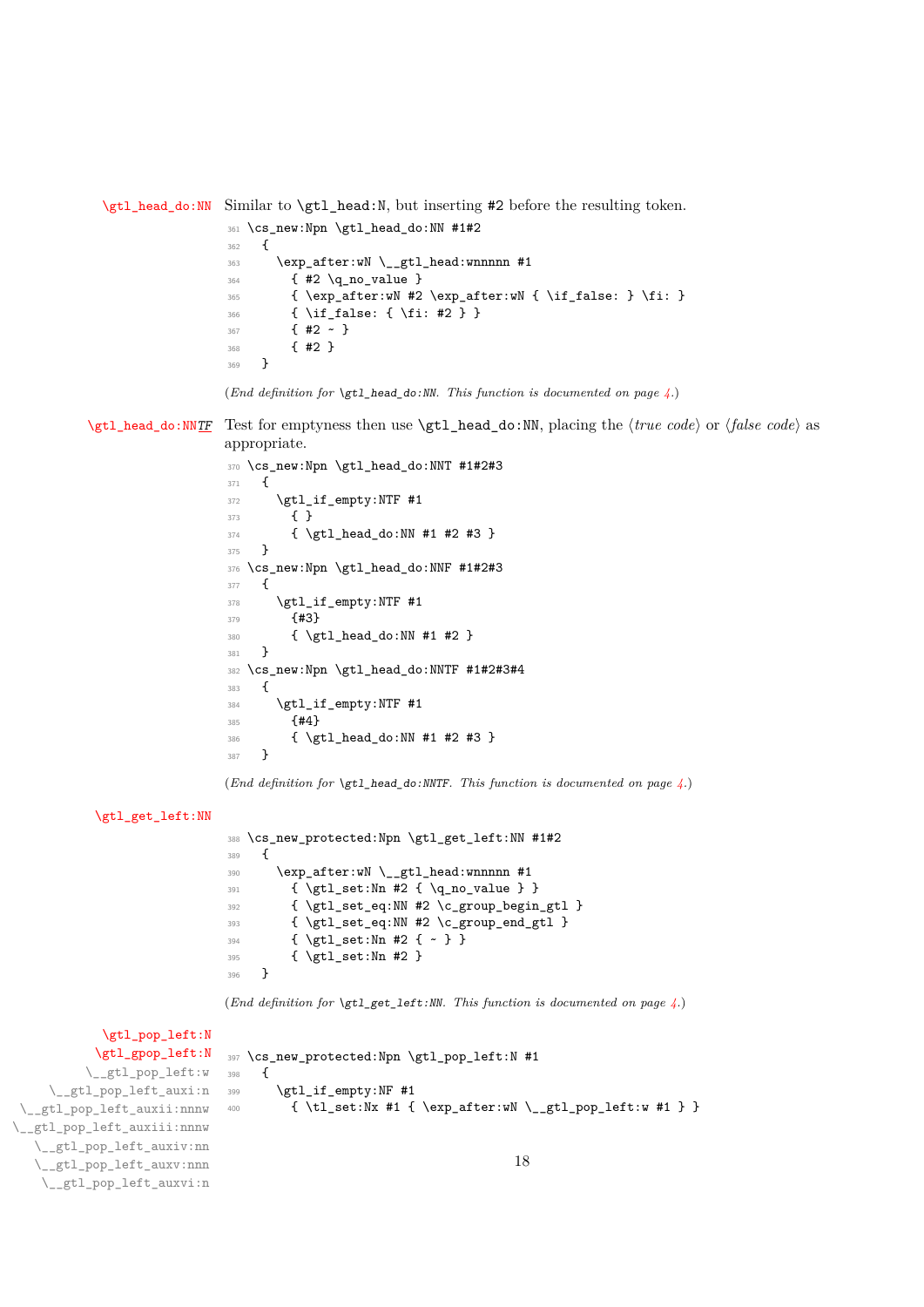[\gtl\\_head\\_do:NN](#page-3-5) Similar to \gtl\_head:N, but inserting #2 before the resulting token.

```
361 \cs_new:Npn \gtl_head_do:NN #1#2
362 {
363 \exp_after:wN \__gtl_head:wnnnnn #1
364 { #2 \q_no_value }
365 { \exp_after:wN #2 \exp_after:wN { \if_false: } \fi: }
366 { \if_false: { \fi: #2 } }
367 { #2 ~ }
368 { #2 }
369 }
```

```
(End definition for \gtl_head_do:NN. This function is documented on page 4.)
```
[\gtl\\_head\\_do:NN](#page-3-6)[TF](#page-0-0) Test for emptyness then use \gtl\_head\_do:NN, placing the  $\langle true \ code \rangle$  or  $\langle false \ code \rangle$  as appropriate.

```
370 \cs_new:Npn \gtl_head_do:NNT #1#2#3
371 {
372 \gtl_if_empty:NTF #1
373 { }
374 { \gtl_head_do:NN #1 #2 #3 }
375 }
376 \cs_new:Npn \gtl_head_do:NNF #1#2#3
377 \frac{1}{2}378 \gtl_if_empty:NTF #1
379 {#3}
380 { \gtl_head_do:NN #1 #2 }
381 }
382 \cs_new:Npn \gtl_head_do:NNTF #1#2#3#4
383 {
384 \gtl_if_empty:NTF #1
385 {#4}
386 { \gtl_head_do:NN #1 #2 #3 }
387 }
```
(*End definition for* \gtl\_head\_do:NNTF*. This function is documented on page [4.](#page-3-6)*)

```
\gtl_get_left:NN
```

```
388 \cs_new_protected:Npn \gtl_get_left:NN #1#2
389 {
390 \qquad \verb|\exp_after:wN \verb|\\_gtl_head:wnnnnn #1|391 { \gtl_set:Nn #2 { \q_no_value } }
392 { \gtl_set_eq:NN #2 \c_group_begin_gtl }
393 { \gtl_set_eq:NN #2 \c_group_end_gtl }
394 { \gtl_set:Nn #2 { ~ } }
395 { \gtl_set:Nn #2 }
396 }
```
(*End definition for* \gtl\_get\_left:NN*. This function is documented on page [4.](#page-3-7)*)

[\gtl\\_pop\\_left:N](#page-3-8) [\gtl\\_gpop\\_left:N](#page-3-8) \\_\_gtl\_pop\_left:w \\_\_gtl\_pop\_left\_auxi:n \\_\_gtl\_pop\_left\_auxii:nnnw \_\_gtl\_pop\_left\_auxiii:nnnw \\_\_gtl\_pop\_left\_auxiv:nn \\_\_gtl\_pop\_left\_auxv:nnn \\_\_gtl\_pop\_left\_auxvi:n <sup>397</sup> \cs\_new\_protected:Npn \gtl\_pop\_left:N #1 398 **{** 399 \gtl\_if\_empty:NF #1 <sup>400</sup> { \tl\_set:Nx #1 { \exp\_after:wN \\_\_gtl\_pop\_left:w #1 } } 18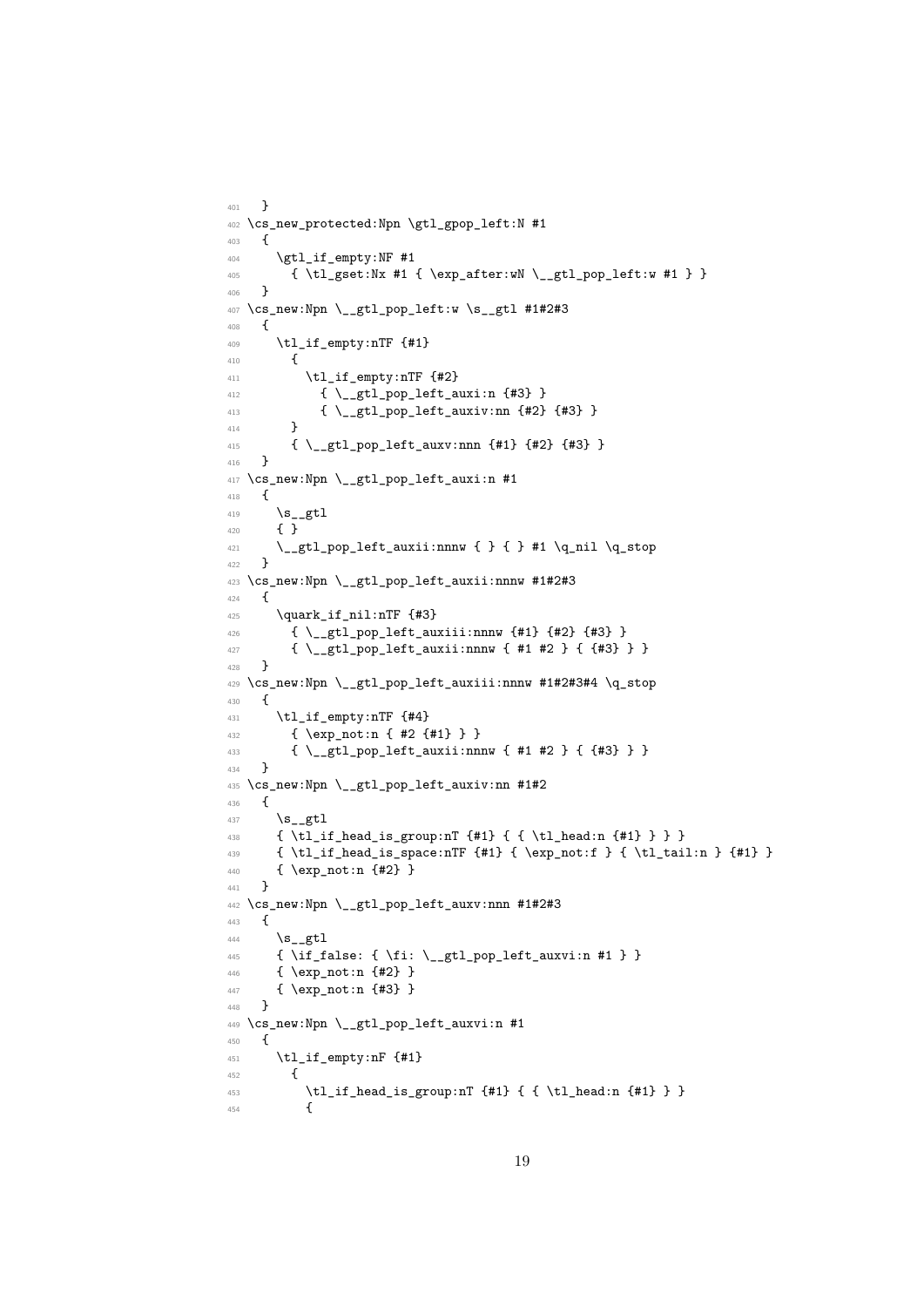```
401 }
402 \cs_new_protected:Npn \gtl_gpop_left:N #1
403 \frac{1}{2}404 \gtl_if_empty:NF #1
405 { \tl_gset:Nx #1 { \exp_after:wN \__gtl_pop_left:w #1 } }
406 }
407 \cs_new:Npn \__gtl_pop_left:w \s__gtl #1#2#3
408 {
409 \tl_if_empty:nTF {#1}
410 {
\text{t1}_\text{un} \text{t2}\{ \ \verb|~\__gtl\_pop\_left_auxi:n {#3} \ \}413 \{ \ \mathcal{L}_g t1\_pop\_left\_auxiv:nn \ \{ \#2 \} \ \{ \#3 \} \ \}414 }
415 { \__gtl_pop_left_auxv:nnn {#1} {#2} {#3} }
416 }
417 \cs_new:Npn \__gtl_pop_left_auxi:n #1
418 {
419 \s_gtl
420 { }
\frac{421}{221} \_gtl_pop_left_auxii:nnnw { } { } #1 \q_nil \q_stop
422 }
423 \cs_new:Npn \__gtl_pop_left_auxii:nnnw #1#2#3
424 \frac{1}{4}425 \quark_if_nil:nTF {#3}
\hbox{\tt 426}\qquad \quad \  \{ \ \verb+\__gt1\_pop{\_}let{\_}auxiii:nnnw{\_}f\#1\} \ \{\#2\} \ \{\#3\} \ \}427 { \__gtl_pop_left_auxii:nnnw { #1 #2 } { {#3} } }
428 }
429 \cs_new:Npn \__gtl_pop_left_auxiii:nnnw #1#2#3#4 \q_stop
430 {
431 \tl_if_empty:nTF {#4}
432 { \exp_not:n { #2 {#1} } }
433 { \__gtl_pop_left_auxii:nnnw { #1 #2 } { {#3} } }
434 }
435 \cs_new:Npn \__gtl_pop_left_auxiv:nn #1#2
436 \sim437 \s_gtl
438 { \tl_if_head_is_group:nT {#1} { { \tl_head:n {#1} } } }
439 { \tl_if_head_is_space:nTF {#1} { \exp_not:f } { \tl_tail:n } {#1} }
440 { \exp_not:n {#2} }
441 }
442 \cs_new:Npn \__gtl_pop_left_auxv:nnn #1#2#3
443 {
444 \mathsf{S}_\text{gtl}445 \{ \if{false: } {\if{right_0, \if{aligned}\} }\446 { \exp_not:n {#2} }
447 { \exp_not:n {#3} }
448 }
449 \cs_new:Npn \__gtl_pop_left_auxvi:n #1
450 {
451 \tl_if_empty:nF {#1}
452 {
453 \lt l_i f_{head_is}group:nT {#1} { { \tl_head:n {#1}} }454 {
```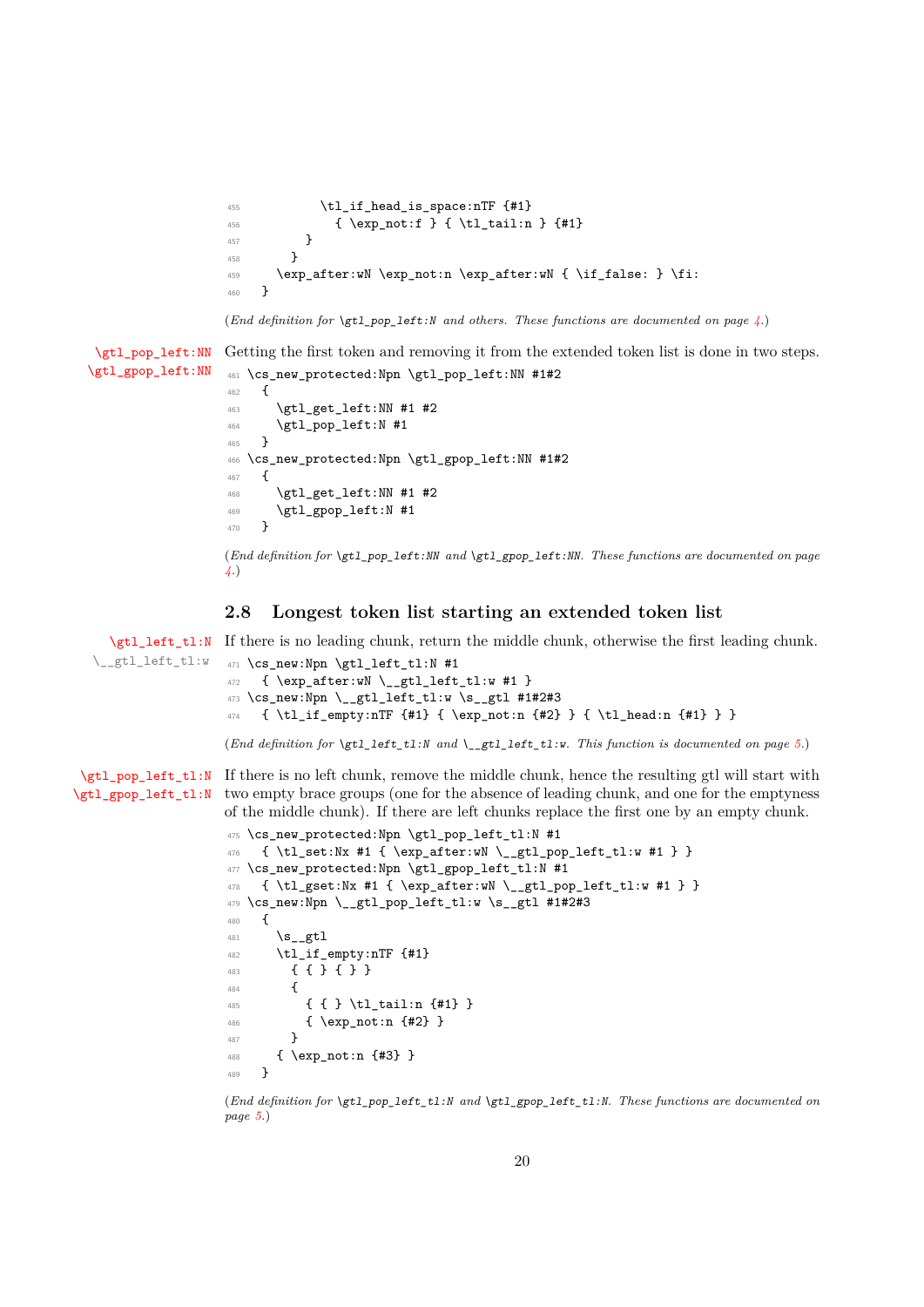```
455 \tl_if_head_is_space:nTF {#1}
456 \{ \exp_{\text{tot}} f \{ \t_{\text{tail}} f \} \457 }
458 }
459 \exp_after:wN \exp_not:n \exp_after:wN { \if_false: } \fi:
460 }
```
(*End definition for* \gtl\_pop\_left:N *and others. These functions are documented on page [4.](#page-3-8)*)

[\gtl\\_pop\\_left:NN](#page-3-9) [\gtl\\_gpop\\_left:NN](#page-3-9) Getting the first token and removing it from the extended token list is done in two steps. <sup>461</sup> \cs\_new\_protected:Npn \gtl\_pop\_left:NN #1#2 462 **{** <sup>463</sup> \gtl\_get\_left:NN #1 #2 <sup>464</sup> \gtl\_pop\_left:N #1 <sup>465</sup> } <sup>466</sup> \cs\_new\_protected:Npn \gtl\_gpop\_left:NN #1#2 <sup>467</sup> { <sup>468</sup> \gtl\_get\_left:NN #1 #2  $\uparrow$  469  $\verb|\gtl_gpop_let: N #1$ 470 }

> (*End definition for* \gtl\_pop\_left:NN *and* \gtl\_gpop\_left:NN*. These functions are documented on page [4.](#page-3-9)*)

#### <span id="page-19-0"></span>**2.8 Longest token list starting an extended token list**

[\gtl\\_left\\_tl:N](#page-4-2) If there is no leading chunk, return the middle chunk, otherwise the first leading chunk. \\_\_gtl\_left\_tl:w <sup>471</sup> \cs\_new:Npn \gtl\_left\_tl:N #1  $472$  { \exp\_after:wN \\_\_gtl\_left\_tl:w #1 }

```
473 \cs_new:Npn \__gtl_left_tl:w \s__gtl #1#2#3
474 { \tl_if_empty:nTF {#1} { \exp_not:n {#2} } { \tl_head:n {#1} } }
```
(*End definition for* \gtl\_left\_tl:N *and* \\_\_gtl\_left\_tl:w*. This function is documented on page [5.](#page-4-2)*)

[\gtl\\_pop\\_left\\_tl:N](#page-4-3) If there is no left chunk, remove the middle chunk, hence the resulting gtl will start with [\gtl\\_gpop\\_left\\_tl:N](#page-4-3) two empty brace groups (one for the absence of leading chunk, and one for the emptyness of the middle chunk). If there are left chunks replace the first one by an empty chunk.

```
475 \cs_new_protected:Npn \gtl_pop_left_tl:N #1
476 { \tl_set:Nx #1 { \exp_after:wN \__gtl_pop_left_tl:w #1 } }
477 \cs_new_protected:Npn \gtl_gpop_left_tl:N #1
478 { \tl_gset:Nx #1 { \exp_after:wN \__gtl_pop_left_tl:w #1 } }
479 \text{ \&\_new: Npn \ } \_gt\_gt1\_pop\_left\_tl:w \ } s\_gt1 \#1\#2\#3480 {
481 \s_gtl
482 \tl_if_empty:nTF {#1}
483 { { } { } }
484 \uparrow485 { { } \tl_tail:n {#1} }
486 { \exp_not:n {#2} }
487 }
488 { \exp_not:n {#3} }
489 }
```
(*End definition for* \gtl\_pop\_left\_tl:N *and* \gtl\_gpop\_left\_tl:N*. These functions are documented on page [5.](#page-4-3)*)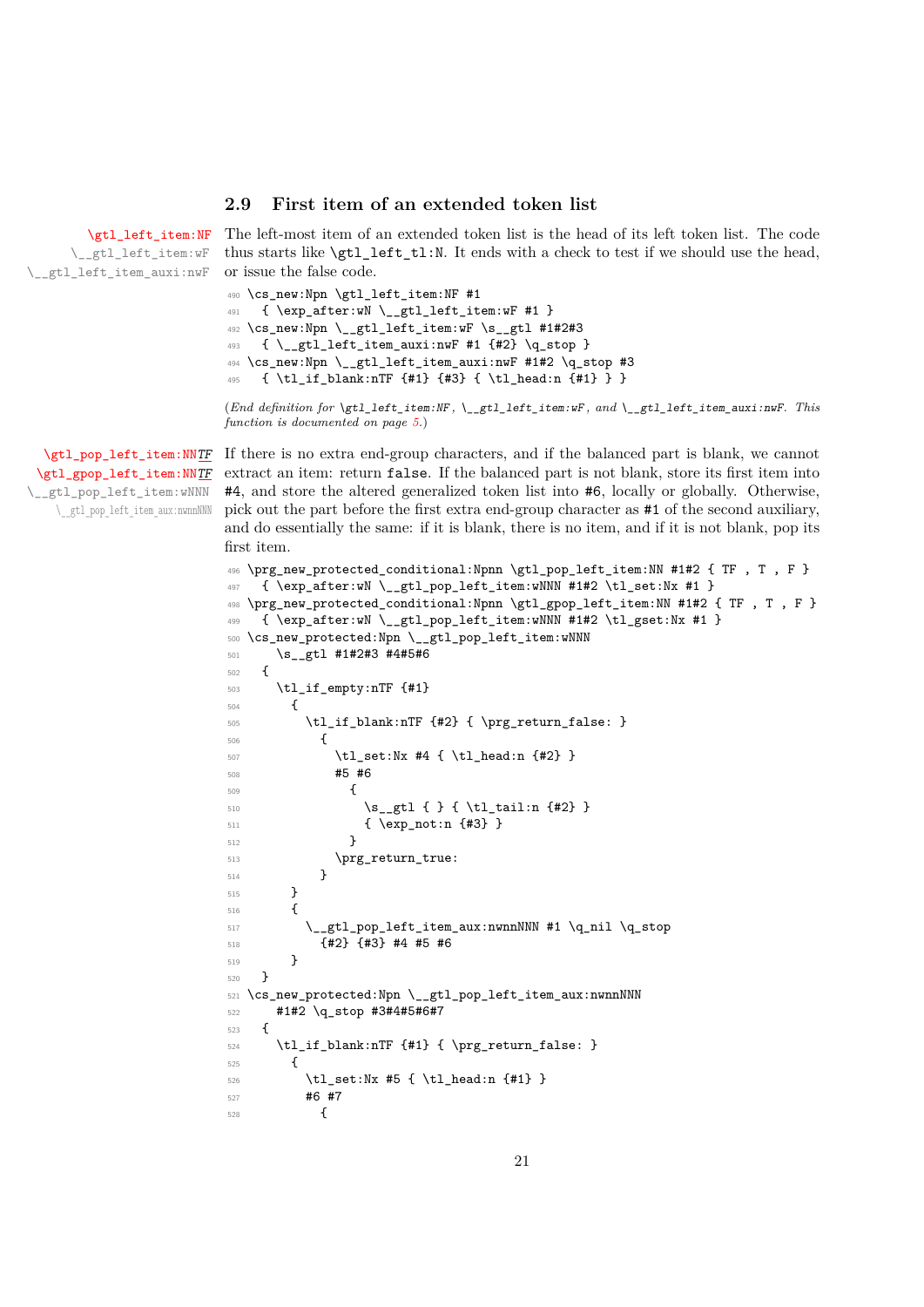#### <span id="page-20-0"></span>**2.9 First item of an extended token list**

[\gtl\\_left\\_item:NF](#page-4-4)

\\_\_gtl\_left\_item:wF \_\_gtl\_left\_item\_auxi:nwF The left-most item of an extended token list is the head of its left token list. The code thus starts like \gtl\_left\_tl:N. It ends with a check to test if we should use the head, or issue the false code.

```
490 \cs_new:Npn \gtl_left_item:NF #1
491 { \exp_after:wN \__gtl_left_item:wF #1 }
492 \cs_new:Npn \__gtl_left_item:wF \s__gtl #1#2#3
493 { \__gtl_left_item_auxi:nwF #1 {#2} \q_stop }
494 \cs_new:Npn \__gtl_left_item_auxi:nwF #1#2 \q_stop #3
495 { \tl_if_blank:nTF {#1} {#3} { \tl_head:n {#1} } }
```
(*End definition for* \gtl\_left\_item:NF *,* \\_\_gtl\_left\_item:wF *, and* \\_\_gtl\_left\_item\_auxi:nwF*. This function is documented on page [5.](#page-4-4)*)

[\gtl\\_gpop\\_left\\_item:NN](#page-4-5)[TF](#page-0-0) \\_\_gtl\_pop\_left\_item:wNNN \\_\_gtl\_pop\_left\_item\_aux:nwnnNNN

[\gtl\\_pop\\_left\\_item:NN](#page-4-5)[TF](#page-0-0) If there is no extra end-group characters, and if the balanced part is blank, we cannot extract an item: return false. If the balanced part is not blank, store its first item into #4, and store the altered generalized token list into #6, locally or globally. Otherwise, pick out the part before the first extra end-group character as #1 of the second auxiliary, and do essentially the same: if it is blank, there is no item, and if it is not blank, pop its first item.

```
496 \prg_new_protected_conditional:Npnn \gtl_pop_left_item:NN #1#2 { TF , T , F }
497 { \exp_after:wN \__gtl_pop_left_item:wNNN #1#2 \tl_set:Nx #1 }
498 \prg_new_protected_conditional:Npnn \gtl_gpop_left_item:NN #1#2 { TF , T , F }
_{499} { \exp_after:wN \__gtl_pop_left_item:wNNN #1#2 \tl_gset:Nx #1 }
500 \cs_new_protected:Npn \__gtl_pop_left_item:wNNN
501 \s_gtl #1#2#3 #4#5#6
502 {
503 \tl_if_empty:nTF {#1}
504 {
505 \tl_if_blank:nTF {#2} { \prg_return_false: }
506 {
507 \tl_set:Nx #4 { \tl_head:n {#2} }
508 #5 #6
\overline{\mathbf{5}} 509
510 \s_{2} \s_gtl { } { \tl_tail:n {#2} }
511 { \exp_not:n {#3} }
512 }
513 \prg_return_true:
514 }
515 }
516 {
517 \__gtl_pop_left_item_aux:nwnnNNN #1 \q_nil \q_stop
518 {#2} {#3} #4 #5 #6
519 }
520 }
521 \cs_new_protected:Npn \__gtl_pop_left_item_aux:nwnnNNN
522 #1#2 \q_stop #3#4#5#6#7
523 {
524 \tl_if_blank:nTF {#1} { \prg_return_false: }
525 {
526 \tl_set:Nx #5 { \tl_head:n {#1} }
527 #6 #7
528 \left\{ \begin{array}{c} \end{array} \right.
```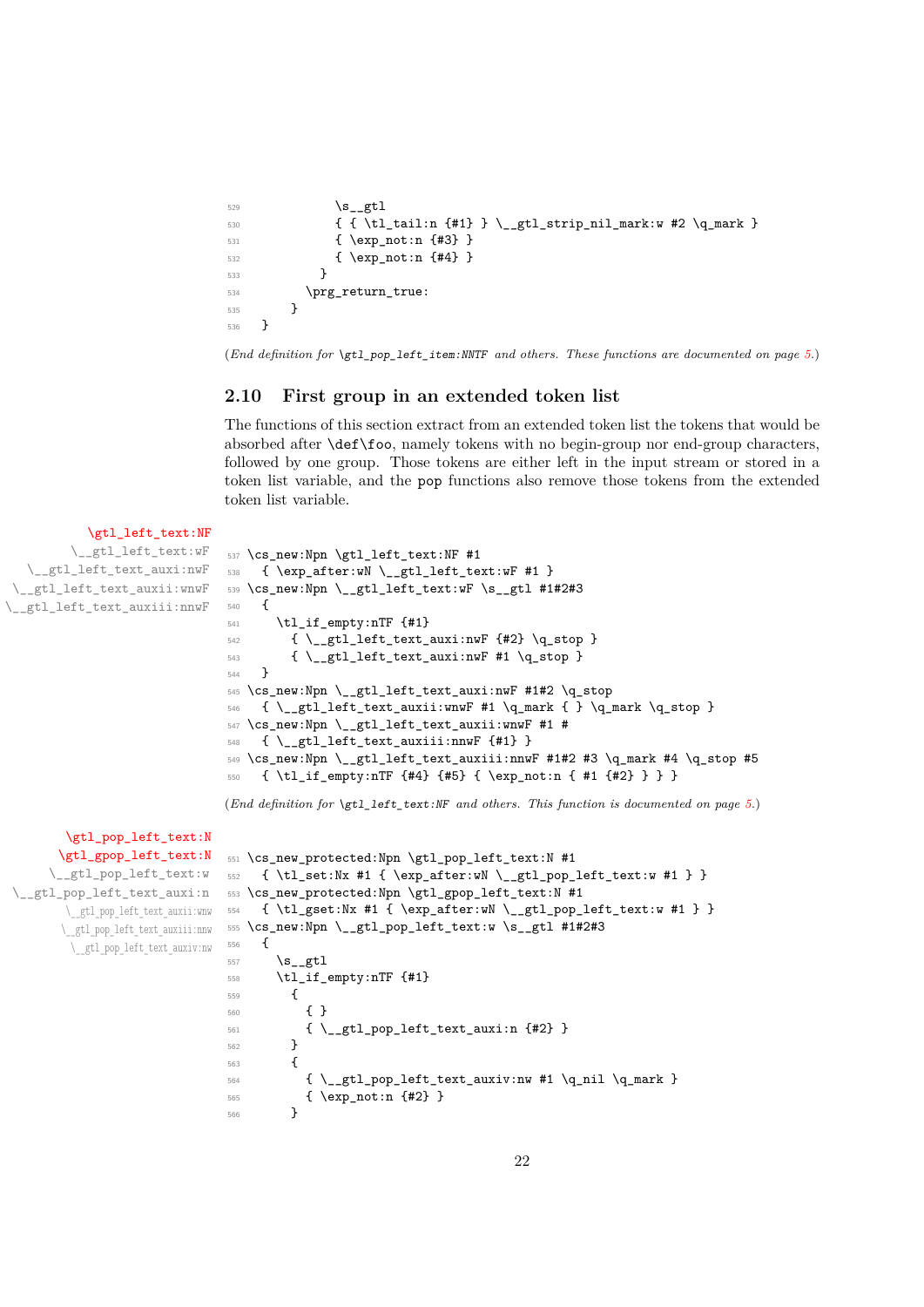```
529 \quad \text{ls\_gtl}530 \{ \ \{ \ \tlambda \} \ \_gt \ \llbracket \531 { \exp_not:n {#3} }
532 { \exp_not:n {#4} }
533 }
534 \prg_return_true:
535 }
536 }
```
(*End definition for* \gtl\_pop\_left\_item:NNTF *and others. These functions are documented on page [5.](#page-4-5)*)

#### <span id="page-21-0"></span>**2.10 First group in an extended token list**

The functions of this section extract from an extended token list the tokens that would be absorbed after \def\foo, namely tokens with no begin-group nor end-group characters, followed by one group. Those tokens are either left in the input stream or stored in a token list variable, and the pop functions also remove those tokens from the extended token list variable.

```
\gtl_left_text:NF
          \__gtl_left_text:wF
   \__gtl_left_text_auxi:nwF
 \__gtl_left_text_auxii:wnwF
\__gtl_left_text_auxiii:nnwF
                                   537 \cs_new:Npn \gtl_left_text:NF #1
                                   538 { \exp_after:wN \__gtl_left_text:wF #1 }
                                  539 \cs_new:Npn \__gtl_left_text:wF \s__gtl #1#2#3
                                  540 {
                                   _{541} \tl_if_empty:nTF {#1}
                                   542 { \_gtl_left_text_auxi:nwF {#2} \q_stop }
                                   \begin{array}{cc} 543 & {\ \ \end{array} { \begin{array}{cc} \bigcup_{\text{st}}\text{alt\_test\_auxi:nwF \#1} & \ \text{Q\_stop} \end{array} }
                                   544 }
                                   545 \cs_new:Npn \__gtl_left_text_auxi:nwF #1#2 \q_stop
                                   546 { \_gtl_left_text_auxii:wnwF #1 \q_mark { } \q_mark \q_stop }
                                   _{547} \cs_new:Npn \__gtl_left_text_auxii:wnwF #1 #
                                   548 \{ \ \mathcal{L}_g t1\_left\_text\_auxiii:nnwF \ {\{\#1\}} \ \}549 \text{ } \csc\_new: Npn \_gt\_gt1\_left\_text_auxiii:nnwF #1#2 #3 \qname #4 \qname #4550 { \tl if empty:nTF {#4} {#5} { \exp_not:n { #1 {#2} } } }
                                  (End definition for \gtl_left_text:NF and others. This function is documented on page 5.)
         \gtl_pop_left_text:N
        \gtl_gpop_left_text:N
      \__gtl_pop_left_text:w
 \__gtl_pop_left_text_auxi:n
         \__gtl_pop_left_text_auxii:wnw
        \__gtl_pop_left_text_auxiii:nnw
          \__gtl_pop_left_text_auxiv:nw
                                   551 \cs_new_protected:Npn \gtl_pop_left_text:N #1
                                   552 \quad {\text{ } \t\t\t\t\t\t\t\t\t\t\t\t\t\t{ } +1 {\text{ } \exp\_after:} \t\t\t\t\t\t\t\t\t\t\t\t\t\t\t\t\t\t\t\t\t\t\t\t\t\t\t\t\t\t\t\t\t+1 \} }553 \cs_new_protected:Npn \gtl_gpop_left_text:N #1
                                  554 { \tl_gset:Nx #1 { \exp_after:wN \__gtl_pop_left_text:w #1 } }
                                  555 \cs_new:Npn \__gtl_pop_left_text:w \s__gtl #1#2#3
                                  556 {
                                   557 \s_gtl
                                   558 \tl_if_empty:nTF {#1}
                                   559 {
                                   560 { }
                                   561 { \_gtl_pop_left_text_auxi:n {#2} }
                                   562 }
                                   563 {
                                   564 { \_gtl_pop_left_text_auxiv:nw #1 \q_nil \q_mark }
                                   565 { \exp_not:n {#2} }
                                   566 }
```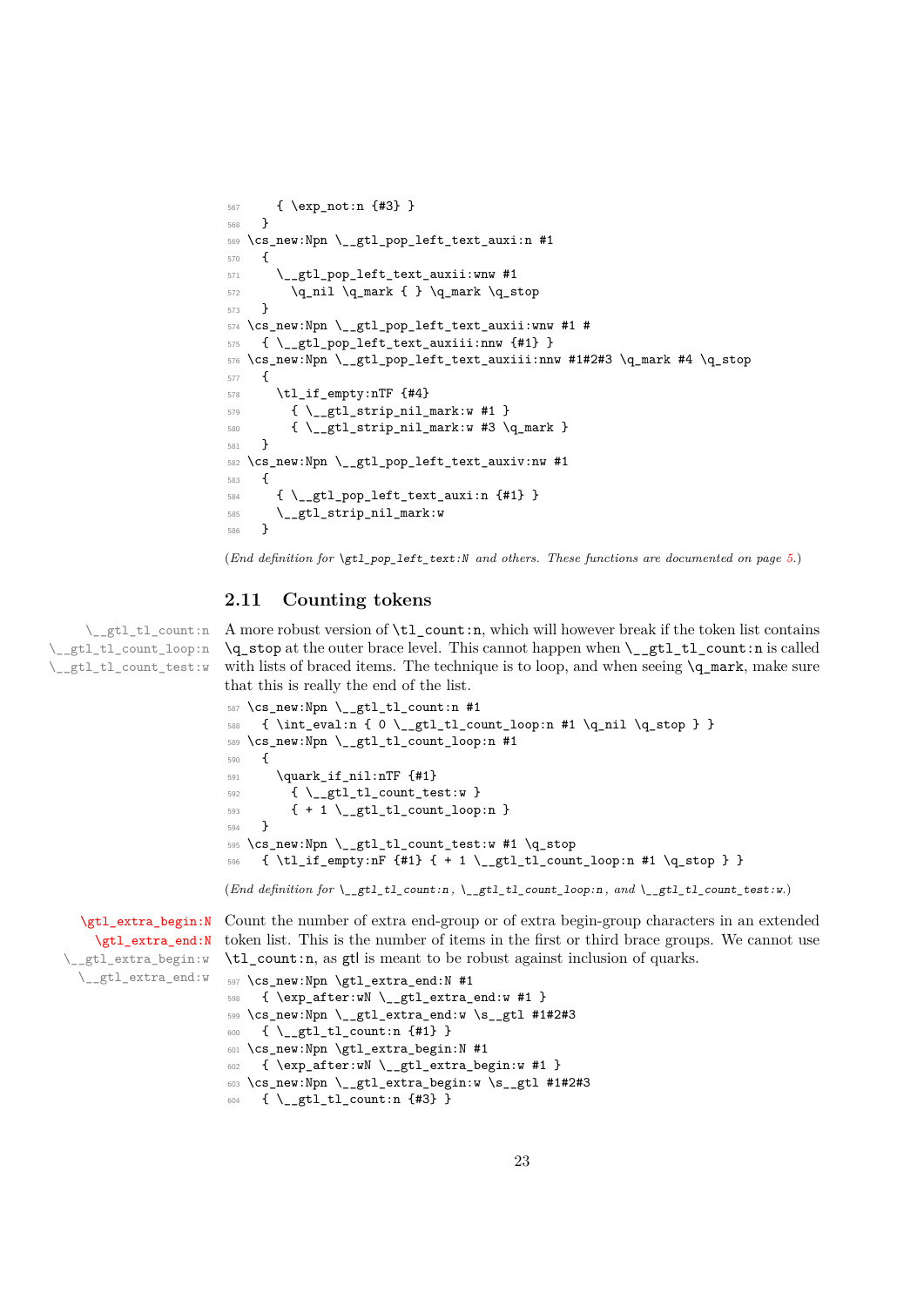```
567 { \exp_not:n {#3} }
568 }
569 \cs_new:Npn \__gtl_pop_left_text_auxi:n #1
570 \frac{570}{2}571 \__gtl_pop_left_text_auxii:wnw #1
572 \q_nil \q_mark { } \q_mark \q_stop
573 }
574 \cs_new:Npn \__gtl_pop_left_text_auxii:wnw #1 #
575 { \__gtl_pop_left_text_auxiii:nnw {#1} }
576 \text{ Cs_new:Npn } \_gt; gt1\_pop\_left_text_auxiii:nnw #1#2#3 \q_name #4 \q_stop577 {
578 \tl_if_empty:nTF {#4}
579 { \L_{gt}tl_strip_nil_mark:w #1 }
580 \{ \ \mathcal{L}_g t1\_strip\_nil\_mark: w #3 \ \mathcal{L}_g mark \}581 }
582 \cs_new:Npn \__gtl_pop_left_text_auxiv:nw #1
583 {
584 { \_gtl_pop_left_text_auxi:n {#1} }
585 \__gtl_strip_nil_mark:w
586 }
```
(*End definition for* \gtl\_pop\_left\_text:N *and others. These functions are documented on page [5.](#page-4-7)*)

#### <span id="page-22-0"></span>**2.11 Counting tokens**

\\_\_gtl\_tl\_count:n \\_\_gtl\_tl\_count\_loop:n \\_\_gtl\_tl\_count\_test:w

A more robust version of \tl\_count:n, which will however break if the token list contains \q\_stop at the outer brace level. This cannot happen when \\_\_gtl\_tl\_count:n is called with lists of braced items. The technique is to loop, and when seeing  $\qquad \qquad \mathbf{q}$  mark, make sure that this is really the end of the list.

```
587 \cs_new:Npn \__gtl_tl_count:n #1
588 { \int_eval:n { 0 \_gtl_tl_count_loop:n #1 \q_nil \q_stop } }
589 \cs_new:Npn \__gtl_tl_count_loop:n #1
590 {
_{591} \quark if nil:nTF {#1}
592 \{ \ \mathcal{L}_g t1_t1_1 \text{count\_test}: w \ \}593 \qquad \{ + 1 \setminus \_ \text{gtl}\_ \text{count\_loop:n } \}594 }
595 \cs_new:Npn \__gtl_tl_count_test:w #1 \q_stop
_{596} { \tl_if_empty:nF {#1} { + 1 \_gtl_tl_count_loop:n #1 \q_stop } }
(End definition for \__gtl_tl_count:n , \__gtl_tl_count_loop:n , and \__gtl_tl_count_test:w.)
```

```
\gtl_extra_end:N
_gtl_extra_begin:w
\__gtl_extra_end:w
```
[\gtl\\_extra\\_begin:N](#page-5-8) Count the number of extra end-group or of extra begin-group characters in an extended token list. This is the number of items in the first or third brace groups. We cannot use \tl\_count:n, as gtl is meant to be robust against inclusion of quarks.

```
597 \cs_new:Npn \gtl_extra_end:N #1
598 { \exp_after:wN \__gtl_extra_end:w #1 }
599 \text{ Cs_new: Npn } \gtrsim \text{gtl} extra_end:w \s_gtl #1#2#3
600 { \__gtl_tl_count:n {#1} }
601 \cs_new:Npn \gtl_extra_begin:N #1
602 { \exp_after:wN \__gtl_extra_begin:w #1 }
603 \cs_new:Npn \__gtl_extra_begin:w \s__gtl #1#2#3
604 \quad {\{\ \ }_{\text{--}}\text{gtl\_tl\_count:n \ \{\#3\} \ \}}
```